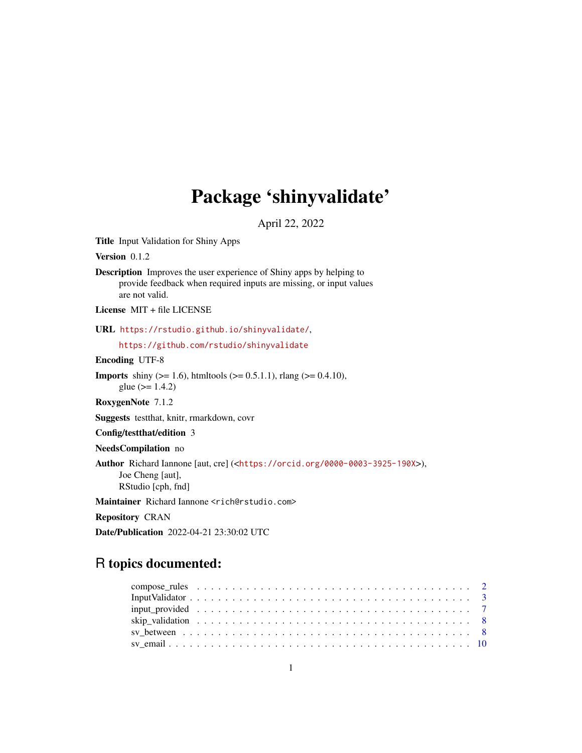## Package 'shinyvalidate'

April 22, 2022

<span id="page-0-0"></span>Title Input Validation for Shiny Apps

Version 0.1.2

Description Improves the user experience of Shiny apps by helping to provide feedback when required inputs are missing, or input values are not valid.

License MIT + file LICENSE

URL <https://rstudio.github.io/shinyvalidate/>,

<https://github.com/rstudio/shinyvalidate>

Encoding UTF-8

**Imports** shiny ( $>= 1.6$ ), htmltools ( $>= 0.5.1.1$ ), rlang ( $>= 0.4.10$ ), glue  $(>= 1.4.2)$ 

RoxygenNote 7.1.2

Suggests testthat, knitr, rmarkdown, covr

Config/testthat/edition 3

NeedsCompilation no

Author Richard Iannone [aut, cre] (<<https://orcid.org/0000-0003-3925-190X>>), Joe Cheng [aut], RStudio [cph, fnd]

Maintainer Richard Iannone <rich@rstudio.com>

Repository CRAN

Date/Publication 2022-04-21 23:30:02 UTC

### R topics documented:

| Input Validator $\ldots \ldots \ldots \ldots \ldots \ldots \ldots \ldots \ldots \ldots \ldots \ldots \ldots$ |  |
|--------------------------------------------------------------------------------------------------------------|--|
|                                                                                                              |  |
|                                                                                                              |  |
|                                                                                                              |  |
|                                                                                                              |  |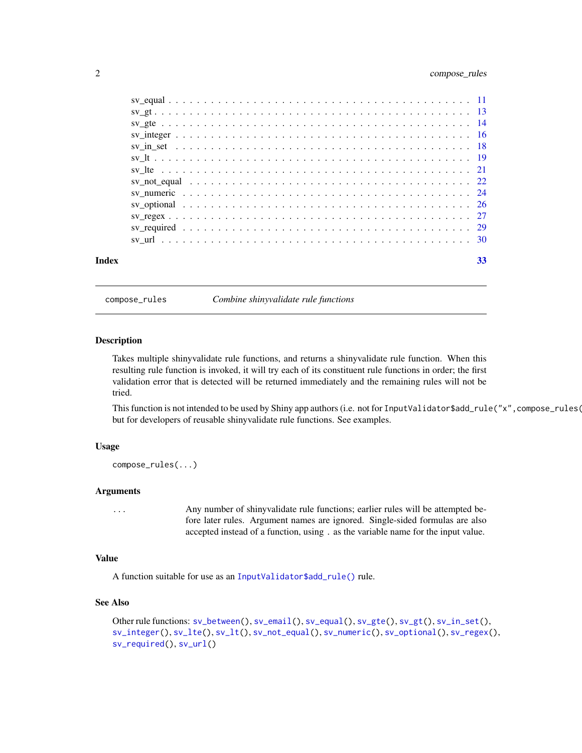#### <span id="page-1-0"></span>2 compose\_rules

<span id="page-1-1"></span>compose\_rules *Combine shinyvalidate rule functions*

#### Description

Takes multiple shinyvalidate rule functions, and returns a shinyvalidate rule function. When this resulting rule function is invoked, it will try each of its constituent rule functions in order; the first validation error that is detected will be returned immediately and the remaining rules will not be tried.

This function is not intended to be used by Shiny app authors (i.e. not for InputValidator\$add\_rule("x", compose\_rules( but for developers of reusable shinyvalidate rule functions. See examples.

#### Usage

compose\_rules(...)

#### Arguments

... Any number of shinyvalidate rule functions; earlier rules will be attempted before later rules. Argument names are ignored. Single-sided formulas are also accepted instead of a function, using . as the variable name for the input value.

#### Value

A function suitable for use as an [InputValidator\\$add\\_rule\(\)](#page-2-1) rule.

#### See Also

```
Other rule functions: sv_between(), sv_email(), sv_equal(), sv_gte(), sv_gt(), sv_in_set(),
sv_integer(), sv_lte(), sv_lt(), sv_not_equal(), sv_numeric(), sv_optional(), sv_regex(),
sv_required(), sv_url()
```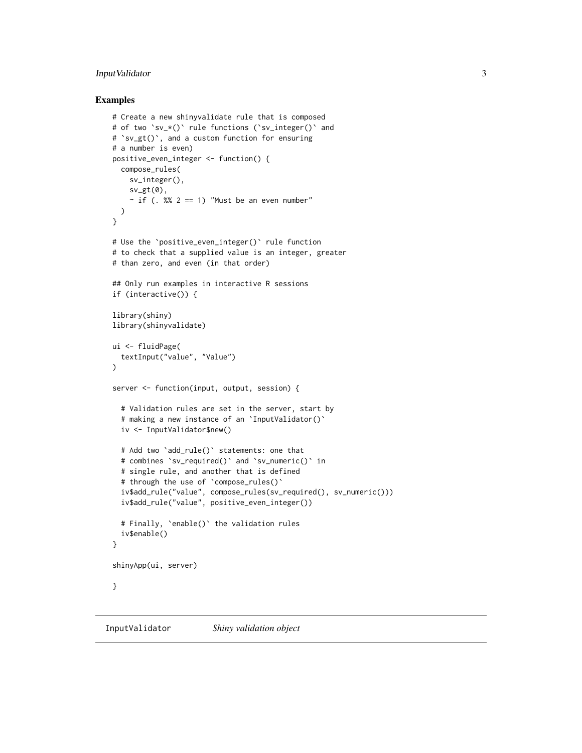#### <span id="page-2-0"></span>InputValidator 3

#### Examples

```
# Create a new shinyvalidate rule that is composed
# of two `sv_*()` rule functions (`sv_integer()` and
# `sv_gt()`, and a custom function for ensuring
# a number is even)
positive_even_integer <- function() {
  compose_rules(
    sv_integer(),
   sv_gt(\emptyset),
    ~\sim if (. %% 2 == 1) "Must be an even number"
 )
}
# Use the `positive_even_integer()` rule function
# to check that a supplied value is an integer, greater
# than zero, and even (in that order)
## Only run examples in interactive R sessions
if (interactive()) {
library(shiny)
library(shinyvalidate)
ui <- fluidPage(
  textInput("value", "Value")
)
server <- function(input, output, session) {
  # Validation rules are set in the server, start by
  # making a new instance of an `InputValidator()`
  iv <- InputValidator$new()
  # Add two `add_rule()` statements: one that
  # combines `sv_required()` and `sv_numeric()` in
  # single rule, and another that is defined
  # through the use of `compose_rules()`
  iv$add_rule("value", compose_rules(sv_required(), sv_numeric()))
  iv$add_rule("value", positive_even_integer())
  # Finally, `enable()` the validation rules
  iv$enable()
}
shinyApp(ui, server)
}
```
<span id="page-2-1"></span>InputValidator *Shiny validation object*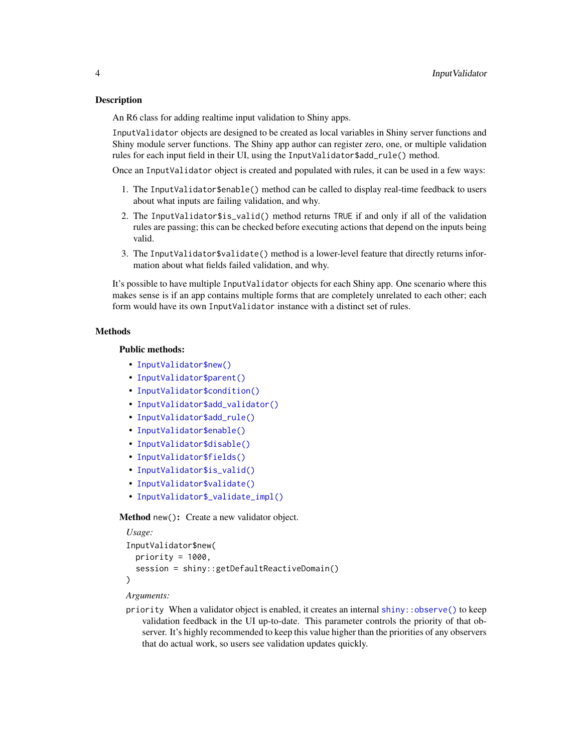#### <span id="page-3-1"></span>Description

An R6 class for adding realtime input validation to Shiny apps.

InputValidator objects are designed to be created as local variables in Shiny server functions and Shiny module server functions. The Shiny app author can register zero, one, or multiple validation rules for each input field in their UI, using the InputValidator\$add\_rule() method.

Once an InputValidator object is created and populated with rules, it can be used in a few ways:

- 1. The InputValidator\$enable() method can be called to display real-time feedback to users about what inputs are failing validation, and why.
- 2. The InputValidator\$is\_valid() method returns TRUE if and only if all of the validation rules are passing; this can be checked before executing actions that depend on the inputs being valid.
- 3. The InputValidator\$validate() method is a lower-level feature that directly returns information about what fields failed validation, and why.

It's possible to have multiple InputValidator objects for each Shiny app. One scenario where this makes sense is if an app contains multiple forms that are completely unrelated to each other; each form would have its own InputValidator instance with a distinct set of rules.

#### Methods

#### Public methods:

- [InputValidator\\$new\(\)](#page-3-0)
- [InputValidator\\$parent\(\)](#page-4-0)
- [InputValidator\\$condition\(\)](#page-4-1)
- [InputValidator\\$add\\_validator\(\)](#page-4-2)
- [InputValidator\\$add\\_rule\(\)](#page-4-3)
- [InputValidator\\$enable\(\)](#page-5-0)
- [InputValidator\\$disable\(\)](#page-5-1)
- [InputValidator\\$fields\(\)](#page-5-2)
- [InputValidator\\$is\\_valid\(\)](#page-5-3)
- [InputValidator\\$validate\(\)](#page-5-4)
- [InputValidator\\$\\_validate\\_impl\(\)](#page-5-5)

#### <span id="page-3-0"></span>Method new(): Create a new validator object.

```
Usage:
InputValidator$new(
 priority = 1000,
  session = shiny::getDefaultReactiveDomain()
)
```
#### *Arguments:*

priority When a validator object is enabled, it creates an internal  $\sin y$ :  $\cos$  observe() to keep validation feedback in the UI up-to-date. This parameter controls the priority of that observer. It's highly recommended to keep this value higher than the priorities of any observers that do actual work, so users see validation updates quickly.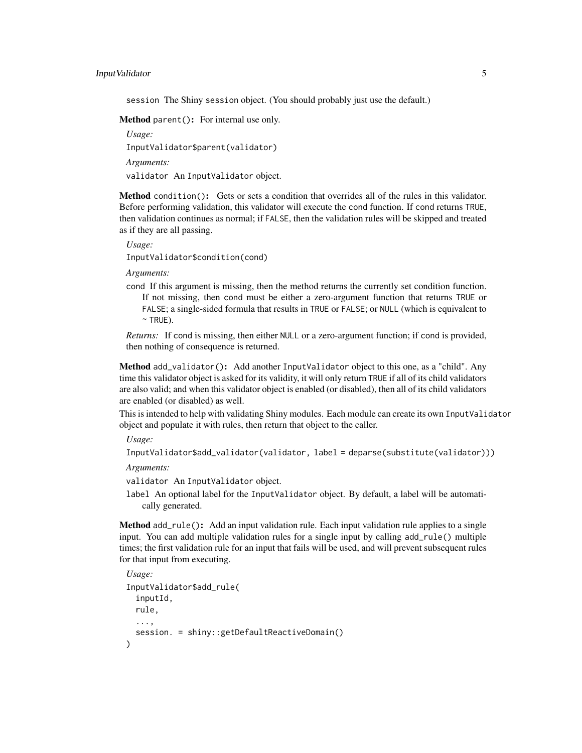#### InputValidator 5

session The Shiny session object. (You should probably just use the default.)

<span id="page-4-0"></span>Method parent(): For internal use only.

*Usage:* InputValidator\$parent(validator) *Arguments:* validator An InputValidator object.

<span id="page-4-1"></span>Method condition(): Gets or sets a condition that overrides all of the rules in this validator. Before performing validation, this validator will execute the cond function. If cond returns TRUE, then validation continues as normal; if FALSE, then the validation rules will be skipped and treated as if they are all passing.

*Usage:*

InputValidator\$condition(cond)

*Arguments:*

cond If this argument is missing, then the method returns the currently set condition function. If not missing, then cond must be either a zero-argument function that returns TRUE or FALSE; a single-sided formula that results in TRUE or FALSE; or NULL (which is equivalent to  $~\sim$  TRUE).

*Returns:* If cond is missing, then either NULL or a zero-argument function; if cond is provided, then nothing of consequence is returned.

<span id="page-4-2"></span>Method add\_validator(): Add another InputValidator object to this one, as a "child". Any time this validator object is asked for its validity, it will only return TRUE if all of its child validators are also valid; and when this validator object is enabled (or disabled), then all of its child validators are enabled (or disabled) as well.

This is intended to help with validating Shiny modules. Each module can create its own InputValidator object and populate it with rules, then return that object to the caller.

*Usage:*

```
InputValidator$add_validator(validator, label = deparse(substitute(validator)))
```
*Arguments:*

validator An InputValidator object.

label An optional label for the InputValidator object. By default, a label will be automatically generated.

<span id="page-4-3"></span>Method add\_rule(): Add an input validation rule. Each input validation rule applies to a single input. You can add multiple validation rules for a single input by calling add\_rule() multiple times; the first validation rule for an input that fails will be used, and will prevent subsequent rules for that input from executing.

```
Usage:
InputValidator$add_rule(
 inputId,
 rule,
  ...,
  session. = shiny::getDefaultReactiveDomain()
)
```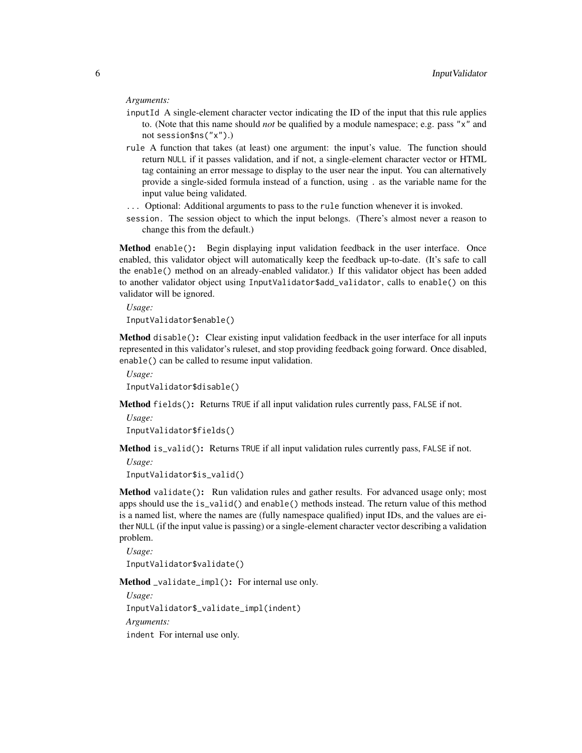#### *Arguments:*

- inputId A single-element character vector indicating the ID of the input that this rule applies to. (Note that this name should *not* be qualified by a module namespace; e.g. pass "x" and not session\$ns("x").)
- rule A function that takes (at least) one argument: the input's value. The function should return NULL if it passes validation, and if not, a single-element character vector or HTML tag containing an error message to display to the user near the input. You can alternatively provide a single-sided formula instead of a function, using . as the variable name for the input value being validated.
- ... Optional: Additional arguments to pass to the rule function whenever it is invoked.
- session. The session object to which the input belongs. (There's almost never a reason to change this from the default.)

<span id="page-5-0"></span>Method enable(): Begin displaying input validation feedback in the user interface. Once enabled, this validator object will automatically keep the feedback up-to-date. (It's safe to call the enable() method on an already-enabled validator.) If this validator object has been added to another validator object using InputValidator\$add\_validator, calls to enable() on this validator will be ignored.

*Usage:*

InputValidator\$enable()

<span id="page-5-1"></span>Method disable(): Clear existing input validation feedback in the user interface for all inputs represented in this validator's ruleset, and stop providing feedback going forward. Once disabled, enable() can be called to resume input validation.

```
Usage:
InputValidator$disable()
```
<span id="page-5-2"></span>Method fields(): Returns TRUE if all input validation rules currently pass, FALSE if not.

```
Usage:
InputValidator$fields()
```
<span id="page-5-3"></span>Method is\_valid(): Returns TRUE if all input validation rules currently pass, FALSE if not.

*Usage:*

InputValidator\$is\_valid()

<span id="page-5-4"></span>Method validate(): Run validation rules and gather results. For advanced usage only; most apps should use the is\_valid() and enable() methods instead. The return value of this method is a named list, where the names are (fully namespace qualified) input IDs, and the values are either NULL (if the input value is passing) or a single-element character vector describing a validation problem.

```
Usage:
InputValidator$validate()
```
<span id="page-5-5"></span>Method \_validate\_impl(): For internal use only.

*Usage:*

InputValidator\$\_validate\_impl(indent)

*Arguments:*

indent For internal use only.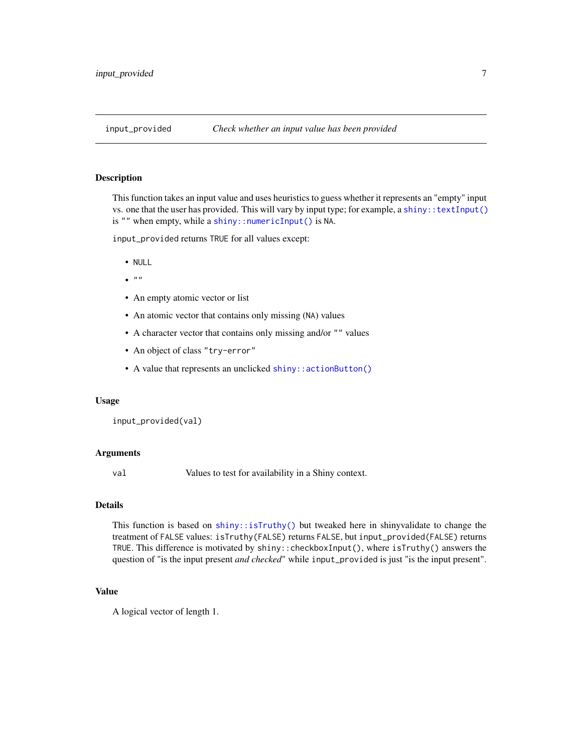<span id="page-6-1"></span><span id="page-6-0"></span>

#### **Description**

This function takes an input value and uses heuristics to guess whether it represents an "empty" input vs. one that the user has provided. This will vary by input type; for example, a [shiny::textInput\(\)](#page-0-0) is "" when empty, while a [shiny::numericInput\(\)](#page-0-0) is NA.

input\_provided returns TRUE for all values except:

- NULL
- $\bullet$   $\bullet$   $\bullet$   $\bullet$
- An empty atomic vector or list
- An atomic vector that contains only missing (NA) values
- A character vector that contains only missing and/or "" values
- An object of class "try-error"
- A value that represents an unclicked [shiny::actionButton\(\)](#page-0-0)

#### Usage

```
input_provided(val)
```
#### **Arguments**

val Values to test for availability in a Shiny context.

#### Details

This function is based on  $\text{shiny}$ :: $\text{isTruthy}()$  but tweaked here in shinyvalidate to change the treatment of FALSE values: isTruthy(FALSE) returns FALSE, but input\_provided(FALSE) returns TRUE. This difference is motivated by shiny::checkboxInput(), where isTruthy() answers the question of "is the input present *and checked*" while input\_provided is just "is the input present".

#### Value

A logical vector of length 1.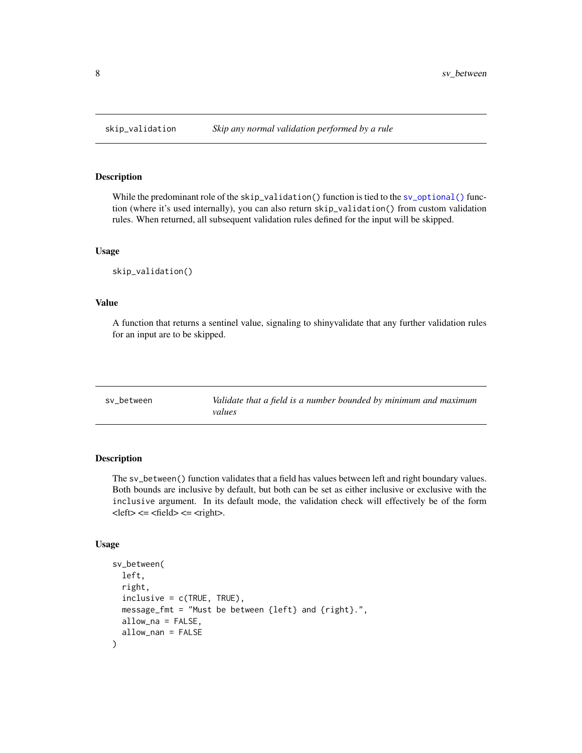#### Description

While the predominant role of the skip\_validation() function is tied to the [sv\\_optional\(\)](#page-25-1) function (where it's used internally), you can also return skip\_validation() from custom validation rules. When returned, all subsequent validation rules defined for the input will be skipped.

#### Usage

skip\_validation()

#### Value

A function that returns a sentinel value, signaling to shinyvalidate that any further validation rules for an input are to be skipped.

<span id="page-7-1"></span>sv\_between *Validate that a field is a number bounded by minimum and maximum values*

#### Description

The sv\_between() function validates that a field has values between left and right boundary values. Both bounds are inclusive by default, but both can be set as either inclusive or exclusive with the inclusive argument. In its default mode, the validation check will effectively be of the form  $\text{.$ 

#### Usage

```
sv_between(
  left,
  right,
  inclusive = c(TRUE, TRUE),
 message_fmt = "Must be between {left} and {right}.",
  allow_na = FALSE,
  allow_nan = FALSE
)
```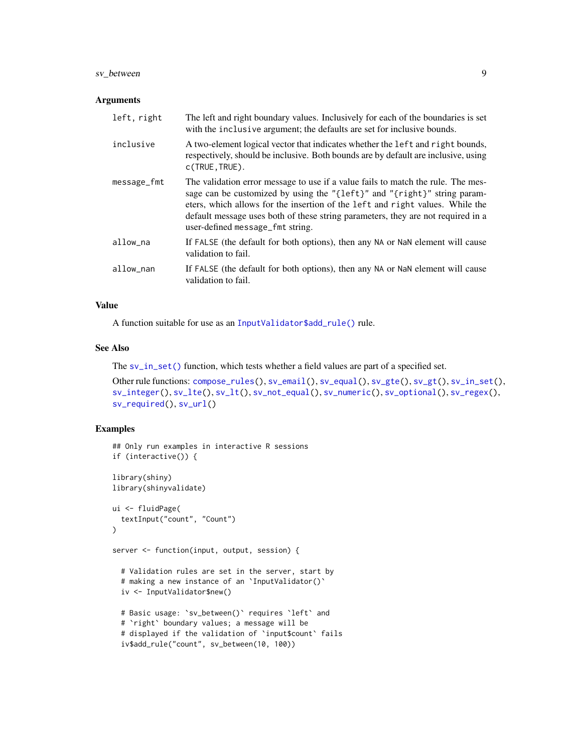#### <span id="page-8-0"></span>sv\_between 9

#### Arguments

| left, right | The left and right boundary values. Inclusively for each of the boundaries is set<br>with the inclusive argument; the defaults are set for inclusive bounds.                                                                                                                                                                                                          |
|-------------|-----------------------------------------------------------------------------------------------------------------------------------------------------------------------------------------------------------------------------------------------------------------------------------------------------------------------------------------------------------------------|
| inclusive   | A two-element logical vector that indicates whether the left and right bounds,<br>respectively, should be inclusive. Both bounds are by default are inclusive, using<br>$c$ (TRUE, TRUE).                                                                                                                                                                             |
| message_fmt | The validation error message to use if a value fails to match the rule. The mes-<br>sage can be customized by using the "{left}" and "{right}" string param-<br>eters, which allows for the insertion of the left and right values. While the<br>default message uses both of these string parameters, they are not required in a<br>user-defined message_fmt string. |
| allow_na    | If FALSE (the default for both options), then any NA or NaN element will cause<br>validation to fail.                                                                                                                                                                                                                                                                 |
| allow_nan   | If FALSE (the default for both options), then any NA or NaN element will cause<br>validation to fail.                                                                                                                                                                                                                                                                 |

#### Value

A function suitable for use as an [InputValidator\\$add\\_rule\(\)](#page-2-1) rule.

#### See Also

The [sv\\_in\\_set\(\)](#page-17-1) function, which tests whether a field values are part of a specified set.

```
Other rule functions: compose_rules(), sv_email(), sv_equal(), sv_gte(), sv_gt(), sv_in_set(),
sv_integer(), sv_lte(), sv_lt(), sv_not_equal(), sv_numeric(), sv_optional(), sv_regex(),
sv_required(), sv_url()
```

```
## Only run examples in interactive R sessions
if (interactive()) {
library(shiny)
library(shinyvalidate)
ui <- fluidPage(
  textInput("count", "Count")
\lambdaserver <- function(input, output, session) {
  # Validation rules are set in the server, start by
  # making a new instance of an `InputValidator()`
  iv <- InputValidator$new()
  # Basic usage: `sv_between()` requires `left` and
  # `right` boundary values; a message will be
  # displayed if the validation of `input$count` fails
  iv$add_rule("count", sv_between(10, 100))
```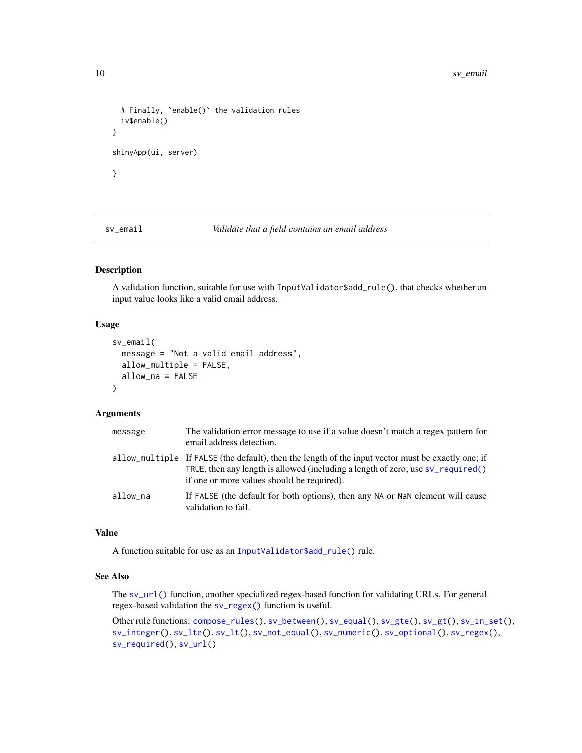```
# Finally, `enable()` the validation rules
 iv$enable()
}
shinyApp(ui, server)
}
```
<span id="page-9-1"></span>sv\_email *Validate that a field contains an email address*

#### Description

A validation function, suitable for use with InputValidator\$add\_rule(), that checks whether an input value looks like a valid email address.

#### Usage

```
sv_email(
  message = "Not a valid email address",
 allow_multiple = FALSE,
  allow_na = FALSE
)
```
#### Arguments

| message  | The validation error message to use if a value doesn't match a regex pattern for<br>email address detection.                                                                                                                          |
|----------|---------------------------------------------------------------------------------------------------------------------------------------------------------------------------------------------------------------------------------------|
|          | allow_multiple If FALSE (the default), then the length of the input vector must be exactly one; if<br>TRUE, then any length is allowed (including a length of zero; use $sv$ required()<br>if one or more values should be required). |
| allow na | If FALSE (the default for both options), then any NA or NaN element will cause<br>validation to fail.                                                                                                                                 |

#### Value

A function suitable for use as an [InputValidator\\$add\\_rule\(\)](#page-2-1) rule.

#### See Also

The [sv\\_url\(\)](#page-29-1) function, another specialized regex-based function for validating URLs. For general regex-based validation the [sv\\_regex\(\)](#page-26-1) function is useful.

Other rule functions: [compose\\_rules\(](#page-1-1)), [sv\\_between\(](#page-7-1)), [sv\\_equal\(](#page-10-1)), [sv\\_gte\(](#page-13-1)), [sv\\_gt\(](#page-12-1)), [sv\\_in\\_set\(](#page-17-1)), [sv\\_integer\(](#page-15-1)), [sv\\_lte\(](#page-20-1)), [sv\\_lt\(](#page-18-1)), [sv\\_not\\_equal\(](#page-21-1)), [sv\\_numeric\(](#page-23-1)), [sv\\_optional\(](#page-25-1)), [sv\\_regex\(](#page-26-1)), [sv\\_required\(](#page-28-1)), [sv\\_url\(](#page-29-1))

<span id="page-9-0"></span>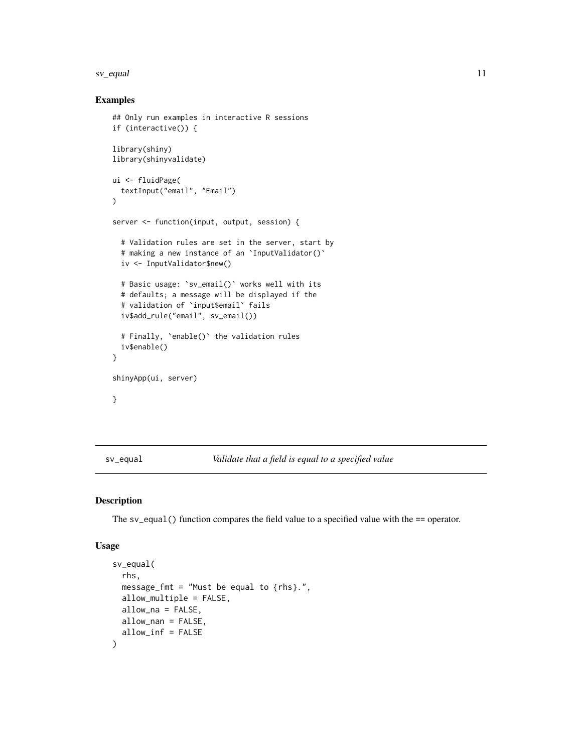#### <span id="page-10-0"></span>sv\_equal 11

#### Examples

```
## Only run examples in interactive R sessions
if (interactive()) {
library(shiny)
library(shinyvalidate)
ui <- fluidPage(
  textInput("email", "Email")
)
server <- function(input, output, session) {
  # Validation rules are set in the server, start by
  # making a new instance of an `InputValidator()`
  iv <- InputValidator$new()
  # Basic usage: `sv_email()` works well with its
  # defaults; a message will be displayed if the
  # validation of `input$email` fails
  iv$add_rule("email", sv_email())
  # Finally, `enable()` the validation rules
  iv$enable()
}
shinyApp(ui, server)
}
```
<span id="page-10-1"></span>sv\_equal *Validate that a field is equal to a specified value*

#### Description

The sv\_equal() function compares the field value to a specified value with the == operator.

#### Usage

```
sv_equal(
  rhs,
 message_fmt = "Must be equal to \{rhs\}.",
 allow_multiple = FALSE,
 allow_na = FALSE,
 allow_nan = FALSE,
  allow_inf = FALSE
)
```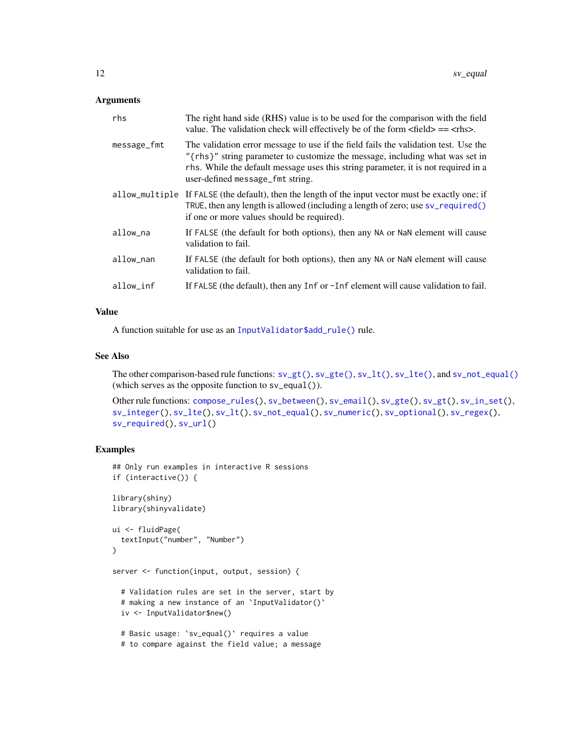#### <span id="page-11-0"></span>Arguments

| rhs            | The right hand side (RHS) value is to be used for the comparison with the field<br>value. The validation check will effectively be of the form $\langle$ field $\rangle$ == $\langle$ rhs $\rangle$ .                                                                                         |
|----------------|-----------------------------------------------------------------------------------------------------------------------------------------------------------------------------------------------------------------------------------------------------------------------------------------------|
| message_fmt    | The validation error message to use if the field fails the validation test. Use the<br>"{rhs}" string parameter to customize the message, including what was set in<br>rhs. While the default message uses this string parameter, it is not required in a<br>user-defined message_fmt string. |
| allow_multiple | If FALSE (the default), then the length of the input vector must be exactly one; if<br>TRUE, then any length is allowed (including a length of zero; use $sv$ -required()<br>if one or more values should be required).                                                                       |
| allow_na       | If FALSE (the default for both options), then any NA or NaN element will cause<br>validation to fail.                                                                                                                                                                                         |
| allow_nan      | If FALSE (the default for both options), then any NA or NaN element will cause<br>validation to fail.                                                                                                                                                                                         |
| allow_inf      | If FALSE (the default), then any Inf or -Inf element will cause validation to fail.                                                                                                                                                                                                           |
|                |                                                                                                                                                                                                                                                                                               |

#### Value

A function suitable for use as an [InputValidator\\$add\\_rule\(\)](#page-2-1) rule.

#### See Also

The other comparison-based rule functions: [sv\\_gt\(\)](#page-12-1), [sv\\_gte\(\)](#page-13-1), [sv\\_lt\(\)](#page-18-1), [sv\\_lte\(\)](#page-20-1), and [sv\\_not\\_equal\(\)](#page-21-1) (which serves as the opposite function to sv\_equal()).

```
compose_rules(sv_between(sv_email(sv_gte(sv_gt(sv_in_set(),
sv_integer(), sv_lte(), sv_lt(), sv_not_equal(), sv_numeric(), sv_optional(), sv_regex(),
sv_required(), sv_url()
```

```
## Only run examples in interactive R sessions
if (interactive()) {
library(shiny)
library(shinyvalidate)
ui <- fluidPage(
  textInput("number", "Number")
\mathcal{L}server <- function(input, output, session) {
  # Validation rules are set in the server, start by
  # making a new instance of an `InputValidator()`
  iv <- InputValidator$new()
  # Basic usage: `sv_equal()` requires a value
  # to compare against the field value; a message
```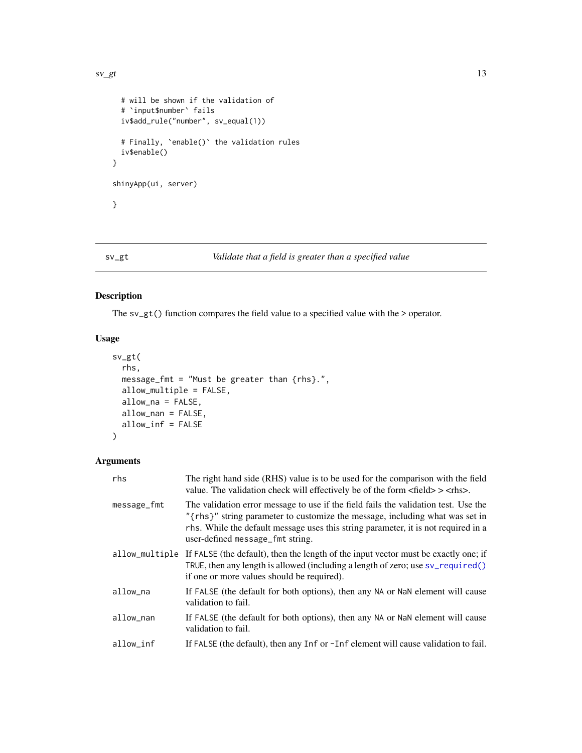```
# will be shown if the validation of
  # `input$number` fails
  iv$add_rule("number", sv_equal(1))
  # Finally, `enable()` the validation rules
  iv$enable()
}
shinyApp(ui, server)
}
```
#### <span id="page-12-1"></span>sv\_gt *Validate that a field is greater than a specified value*

#### Description

The sv\_gt() function compares the field value to a specified value with the > operator.

#### Usage

```
sv_gt(
  rhs,
 message_fmt = "Must be greater than {rhs}.",
 allow_multiple = FALSE,
  allow_na = FALSE,
 allow_nan = FALSE,
  allow_inf = FALSE
```

```
)
```
#### Arguments

| rhs            | The right hand side (RHS) value is to be used for the comparison with the field<br>value. The validation check will effectively be of the form $\langle$ field $\rangle$ $>$ $\langle$ rhs $\rangle$ .                                                                                        |
|----------------|-----------------------------------------------------------------------------------------------------------------------------------------------------------------------------------------------------------------------------------------------------------------------------------------------|
| message_fmt    | The validation error message to use if the field fails the validation test. Use the<br>"{rhs}" string parameter to customize the message, including what was set in<br>rhs. While the default message uses this string parameter, it is not required in a<br>user-defined message_fmt string. |
| allow_multiple | If FALSE (the default), then the length of the input vector must be exactly one; if<br>TRUE, then any length is allowed (including a length of zero; use sv_required()<br>if one or more values should be required).                                                                          |
| allow_na       | If FALSE (the default for both options), then any NA or NaN element will cause<br>validation to fail.                                                                                                                                                                                         |
| allow_nan      | If FALSE (the default for both options), then any NA or NaN element will cause<br>validation to fail.                                                                                                                                                                                         |
| allow_inf      | If FALSE (the default), then any Inf or -Inf element will cause validation to fail.                                                                                                                                                                                                           |
|                |                                                                                                                                                                                                                                                                                               |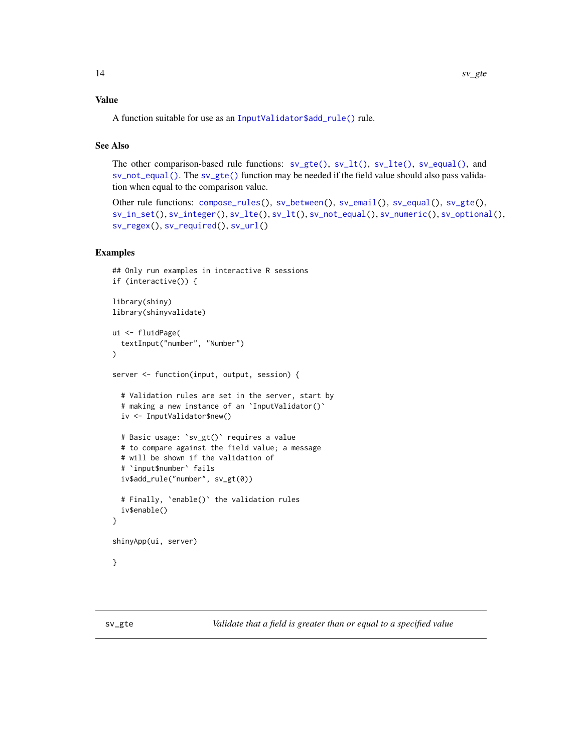#### <span id="page-13-0"></span>Value

A function suitable for use as an [InputValidator\\$add\\_rule\(\)](#page-2-1) rule.

#### See Also

The other comparison-based rule functions:  $sv_gte()$ ,  $sv_lte()$ ,  $sv_lte()$ ,  $sv_equal()$ , and [sv\\_not\\_equal\(\)](#page-21-1). The [sv\\_gte\(\)](#page-13-1) function may be needed if the field value should also pass validation when equal to the comparison value.

```
Other rule functions: compose_rules(), sv_between(), sv_email(), sv_equal(), sv_gte(),
sv_in_set(), sv_integer(), sv_lte(), sv_lt(), sv_not_equal(), sv_numeric(), sv_optional(),
sv_regex(), sv_required(), sv_url()
```
#### Examples

```
## Only run examples in interactive R sessions
if (interactive()) {
library(shiny)
library(shinyvalidate)
ui <- fluidPage(
 textInput("number", "Number")
\lambdaserver <- function(input, output, session) {
 # Validation rules are set in the server, start by
 # making a new instance of an `InputValidator()`
 iv <- InputValidator$new()
 # Basic usage: `sv_gt()` requires a value
 # to compare against the field value; a message
 # will be shown if the validation of
 # `input$number` fails
 iv$add_rule("number", sv_gt(0))
 # Finally, `enable()` the validation rules
 iv$enable()
}
shinyApp(ui, server)
}
```
<span id="page-13-1"></span>sv\_gte *Validate that a field is greater than or equal to a specified value*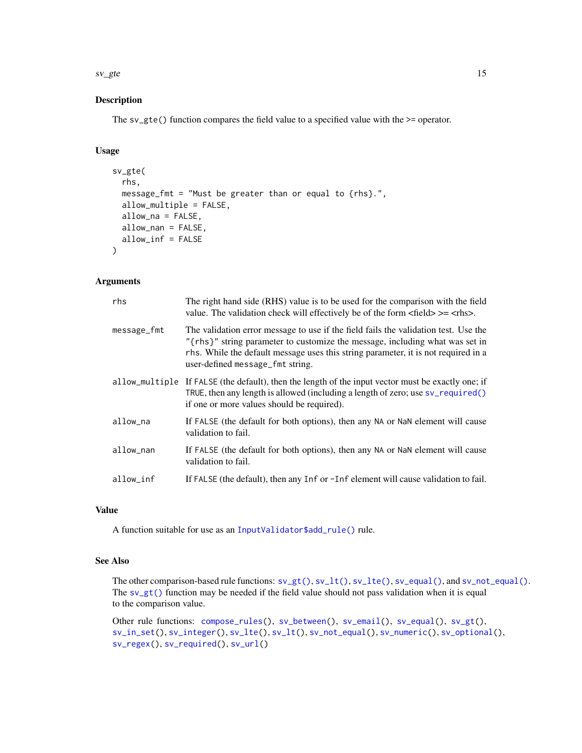<span id="page-14-0"></span> $s\nu$ gte  $15$ 

#### Description

The sv\_gte() function compares the field value to a specified value with the >= operator.

#### Usage

```
sv_gte(
  rhs,
  message_fmt = "Must be greater than or equal to {rhs}.",
  allow_multiple = FALSE,
  allow_na = FALSE,
  allow_nan = FALSE,
  allow_inf = FALSE
)
```
#### Arguments

| rhs         | The right hand side (RHS) value is to be used for the comparison with the field<br>value. The validation check will effectively be of the form $\langle$ field $\rangle$ $>=$ $\langle$ rhs $\rangle$ .                                                                                       |
|-------------|-----------------------------------------------------------------------------------------------------------------------------------------------------------------------------------------------------------------------------------------------------------------------------------------------|
| message_fmt | The validation error message to use if the field fails the validation test. Use the<br>"{rhs}" string parameter to customize the message, including what was set in<br>rhs. While the default message uses this string parameter, it is not required in a<br>user-defined message_fmt string. |
|             | allow_multiple If FALSE (the default), then the length of the input vector must be exactly one; if<br>TRUE, then any length is allowed (including a length of zero; use sv_required()<br>if one or more values should be required).                                                           |
| allow_na    | If FALSE (the default for both options), then any NA or NaN element will cause<br>validation to fail.                                                                                                                                                                                         |
| allow_nan   | If FALSE (the default for both options), then any NA or NaN element will cause<br>validation to fail.                                                                                                                                                                                         |
| allow_inf   | If FALSE (the default), then any Inf or -Inf element will cause validation to fail.                                                                                                                                                                                                           |

#### Value

A function suitable for use as an [InputValidator\\$add\\_rule\(\)](#page-2-1) rule.

#### See Also

The other comparison-based rule functions:  $s\vee gt(), s\vee lt(), s\vee_lte(), s\vee_lede(), and s\vee_lnot_equal().$ The  $s \vee g t$  () function may be needed if the field value should not pass validation when it is equal to the comparison value.

Other rule functions: [compose\\_rules\(](#page-1-1)), [sv\\_between\(](#page-7-1)), [sv\\_email\(](#page-9-1)), [sv\\_equal\(](#page-10-1)), [sv\\_gt\(](#page-12-1)), [sv\\_in\\_set\(](#page-17-1)), [sv\\_integer\(](#page-15-1)), [sv\\_lte\(](#page-20-1)), [sv\\_lt\(](#page-18-1)), [sv\\_not\\_equal\(](#page-21-1)), [sv\\_numeric\(](#page-23-1)), [sv\\_optional\(](#page-25-1)), [sv\\_regex\(](#page-26-1)), [sv\\_required\(](#page-28-1)), [sv\\_url\(](#page-29-1))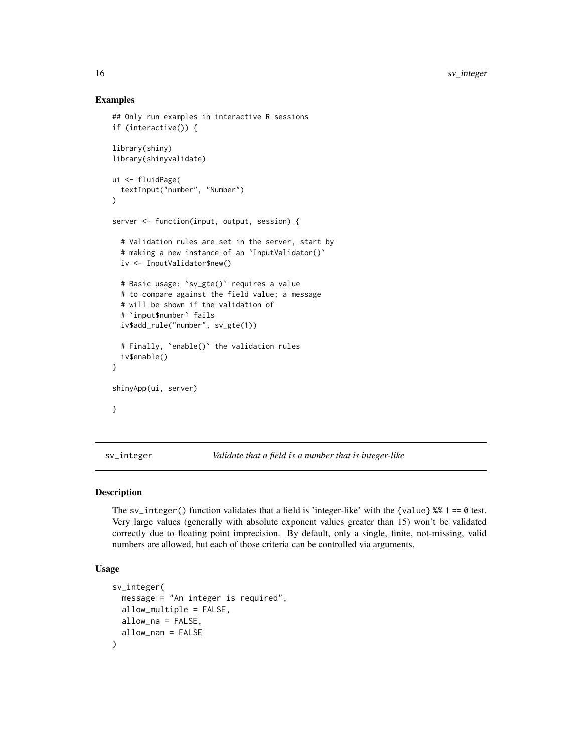#### Examples

```
## Only run examples in interactive R sessions
if (interactive()) {
library(shiny)
library(shinyvalidate)
ui <- fluidPage(
  textInput("number", "Number")
)
server <- function(input, output, session) {
  # Validation rules are set in the server, start by
  # making a new instance of an `InputValidator()`
  iv <- InputValidator$new()
  # Basic usage: `sv_gte()` requires a value
  # to compare against the field value; a message
  # will be shown if the validation of
  # `input$number` fails
  iv$add_rule("number", sv_gte(1))
  # Finally, `enable()` the validation rules
  iv$enable()
}
shinyApp(ui, server)
}
```
<span id="page-15-1"></span>sv\_integer *Validate that a field is a number that is integer-like*

#### Description

The sv\_integer() function validates that a field is 'integer-like' with the {value}  $% 1 == 0$  test. Very large values (generally with absolute exponent values greater than 15) won't be validated correctly due to floating point imprecision. By default, only a single, finite, not-missing, valid numbers are allowed, but each of those criteria can be controlled via arguments.

#### Usage

```
sv_integer(
 message = "An integer is required",
  allow_multiple = FALSE,
 allow_na = FALSE,
  allow_nan = FALSE
)
```
<span id="page-15-0"></span>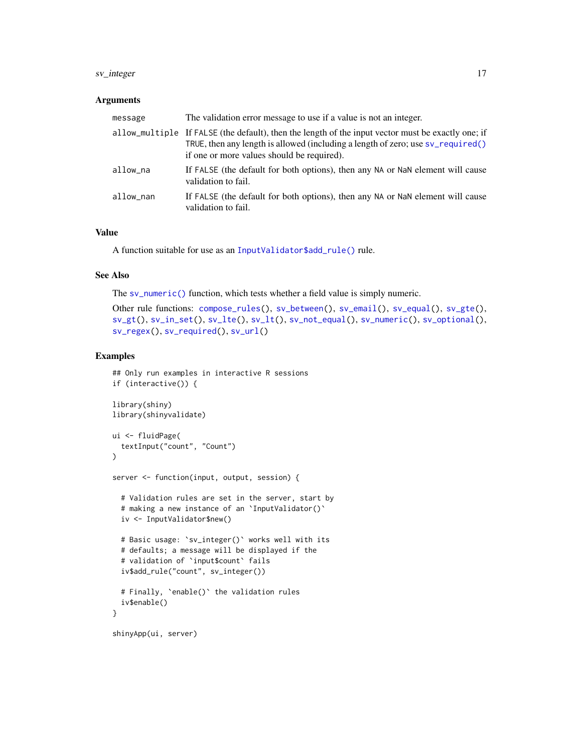#### <span id="page-16-0"></span>sv\_integer 17

#### Arguments

| message   | The validation error message to use if a value is not an integer.                                                                                                                                                                   |
|-----------|-------------------------------------------------------------------------------------------------------------------------------------------------------------------------------------------------------------------------------------|
|           | allow_multiple If FALSE (the default), then the length of the input vector must be exactly one; if<br>TRUE, then any length is allowed (including a length of zero; use sv_required()<br>if one or more values should be required). |
| allow na  | If FALSE (the default for both options), then any NA or NaN element will cause<br>validation to fail.                                                                                                                               |
| allow_nan | If FALSE (the default for both options), then any NA or NaN element will cause<br>validation to fail.                                                                                                                               |

#### Value

A function suitable for use as an [InputValidator\\$add\\_rule\(\)](#page-2-1) rule.

#### See Also

The [sv\\_numeric\(\)](#page-23-1) function, which tests whether a field value is simply numeric.

```
Other rule functions: compose_rules(), sv_between(), sv_email(), sv_equal(), sv_gte(),
sv_gt(), sv_in_set(), sv_lte(), sv_lt(), sv_not_equal(), sv_numeric(), sv_optional(),
sv_regex(), sv_required(), sv_url()
```

```
## Only run examples in interactive R sessions
if (interactive()) {
library(shiny)
library(shinyvalidate)
ui <- fluidPage(
  textInput("count", "Count")
)
server <- function(input, output, session) {
  # Validation rules are set in the server, start by
  # making a new instance of an `InputValidator()`
  iv <- InputValidator$new()
  # Basic usage: `sv_integer()` works well with its
  # defaults; a message will be displayed if the
  # validation of `input$count` fails
  iv$add_rule("count", sv_integer())
  # Finally, `enable()` the validation rules
  iv$enable()
}
shinyApp(ui, server)
```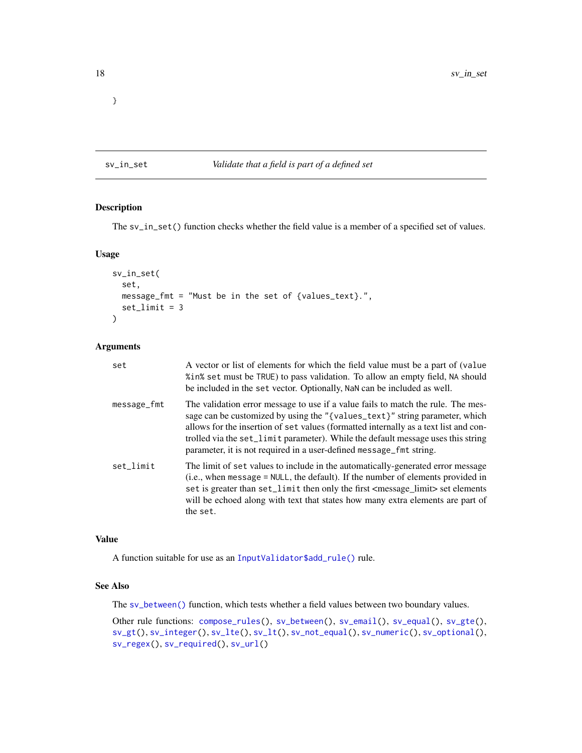<span id="page-17-0"></span>}

#### <span id="page-17-1"></span>sv\_in\_set *Validate that a field is part of a defined set*

#### Description

The sv\_in\_set() function checks whether the field value is a member of a specified set of values.

#### Usage

```
sv_in_set(
  set,
 message_fmt = "Must be in the set of {values_text}.",
  set_limit = 3
)
```
#### Arguments

| set         | A vector or list of elements for which the field value must be a part of (value<br>% in% set must be TRUE) to pass validation. To allow an empty field, NA should<br>be included in the set vector. Optionally, NaN can be included as well.                                                                                                                                                                       |
|-------------|--------------------------------------------------------------------------------------------------------------------------------------------------------------------------------------------------------------------------------------------------------------------------------------------------------------------------------------------------------------------------------------------------------------------|
| message_fmt | The validation error message to use if a value fails to match the rule. The mes-<br>sage can be customized by using the "{values_text}" string parameter, which<br>allows for the insertion of set values (formatted internally as a text list and con-<br>trolled via the set_limit parameter). While the default message uses this string<br>parameter, it is not required in a user-defined message_fmt string. |
| set limit   | The limit of set values to include in the automatically-generated error message<br>(i.e., when message = NULL, the default). If the number of elements provided in<br>set is greater than set_limit then only the first <message_limit> set elements<br/>will be echoed along with text that states how many extra elements are part of<br/>the set.</message_limit>                                               |

#### Value

A function suitable for use as an [InputValidator\\$add\\_rule\(\)](#page-2-1) rule.

### See Also

The [sv\\_between\(\)](#page-7-1) function, which tests whether a field values between two boundary values.

Other rule functions: [compose\\_rules\(](#page-1-1)), [sv\\_between\(](#page-7-1)), [sv\\_email\(](#page-9-1)), [sv\\_equal\(](#page-10-1)), [sv\\_gte\(](#page-13-1)), [sv\\_gt\(](#page-12-1)), [sv\\_integer\(](#page-15-1)), [sv\\_lte\(](#page-20-1)), [sv\\_lt\(](#page-18-1)), [sv\\_not\\_equal\(](#page-21-1)), [sv\\_numeric\(](#page-23-1)), [sv\\_optional\(](#page-25-1)), [sv\\_regex\(](#page-26-1)), [sv\\_required\(](#page-28-1)), [sv\\_url\(](#page-29-1))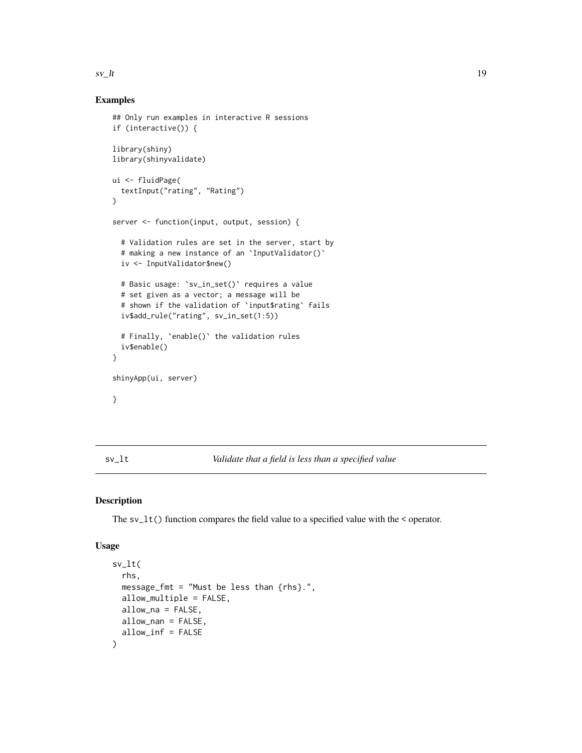#### <span id="page-18-0"></span> $s_v$ <sub>k</sub>t 19

#### Examples

```
## Only run examples in interactive R sessions
if (interactive()) {
library(shiny)
library(shinyvalidate)
ui <- fluidPage(
  textInput("rating", "Rating")
)
server <- function(input, output, session) {
  # Validation rules are set in the server, start by
  # making a new instance of an `InputValidator()`
  iv <- InputValidator$new()
  # Basic usage: `sv_in_set()` requires a value
  # set given as a vector; a message will be
  # shown if the validation of `input$rating` fails
  iv$add_rule("rating", sv_in_set(1:5))
  # Finally, `enable()` the validation rules
  iv$enable()
}
shinyApp(ui, server)
}
```
<span id="page-18-1"></span>sv\_lt *Validate that a field is less than a specified value*

#### Description

The sv\_lt() function compares the field value to a specified value with the < operator.

#### Usage

```
sv_lt(
  rhs,
 message_fmt = "Must be less than \{rhs\}.",
 allow_multiple = FALSE,
 allow_na = FALSE,
 allow_nan = FALSE,
  allow_inf = FALSE
)
```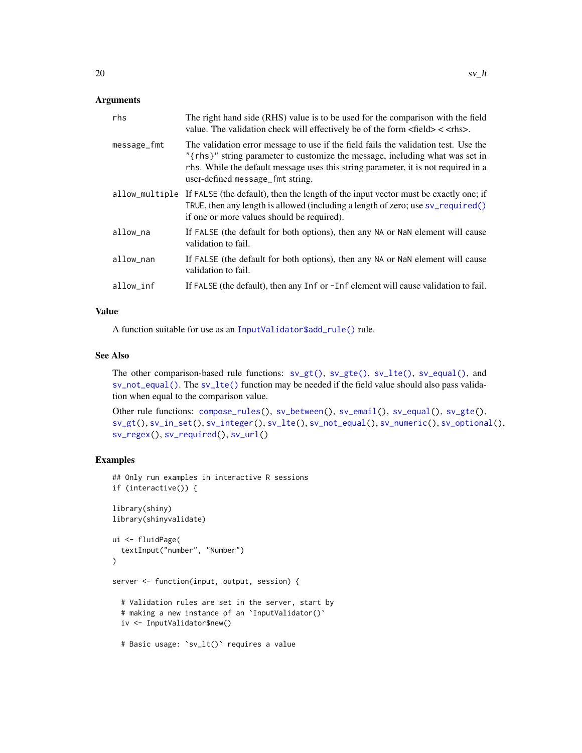#### <span id="page-19-0"></span>Arguments

| rhs            | The right hand side (RHS) value is to be used for the comparison with the field<br>value. The validation check will effectively be of the form <field> &lt; <rhs>.</rhs></field>                                                                                                              |
|----------------|-----------------------------------------------------------------------------------------------------------------------------------------------------------------------------------------------------------------------------------------------------------------------------------------------|
| message_fmt    | The validation error message to use if the field fails the validation test. Use the<br>"{rhs}" string parameter to customize the message, including what was set in<br>rhs. While the default message uses this string parameter, it is not required in a<br>user-defined message_fmt string. |
| allow_multiple | If FALSE (the default), then the length of the input vector must be exactly one; if<br>TRUE, then any length is allowed (including a length of zero; use sv_required()<br>if one or more values should be required).                                                                          |
| allow_na       | If FALSE (the default for both options), then any NA or NaN element will cause<br>validation to fail.                                                                                                                                                                                         |
| allow_nan      | If FALSE (the default for both options), then any NA or NaN element will cause<br>validation to fail.                                                                                                                                                                                         |
| allow_inf      | If FALSE (the default), then any Inf or -Inf element will cause validation to fail.                                                                                                                                                                                                           |

#### Value

A function suitable for use as an [InputValidator\\$add\\_rule\(\)](#page-2-1) rule.

#### See Also

The other comparison-based rule functions:  $sv_g(t)$ ,  $sv_g(t)$ ,  $sv_lte()$ ,  $sv_equal()$ , and [sv\\_not\\_equal\(\)](#page-21-1). The [sv\\_lte\(\)](#page-20-1) function may be needed if the field value should also pass validation when equal to the comparison value.

```
compose_rules(sv_between(sv_email(sv_equal(sv_gte(),
sv_gt(), sv_in_set(), sv_integer(), sv_lte(), sv_not_equal(), sv_numeric(), sv_optional(),
sv_regex(), sv_required(), sv_url()
```

```
## Only run examples in interactive R sessions
if (interactive()) {
library(shiny)
library(shinyvalidate)
ui <- fluidPage(
  textInput("number", "Number")
\mathcal{L}server <- function(input, output, session) {
  # Validation rules are set in the server, start by
  # making a new instance of an `InputValidator()`
  iv <- InputValidator$new()
  # Basic usage: `sv_lt()` requires a value
```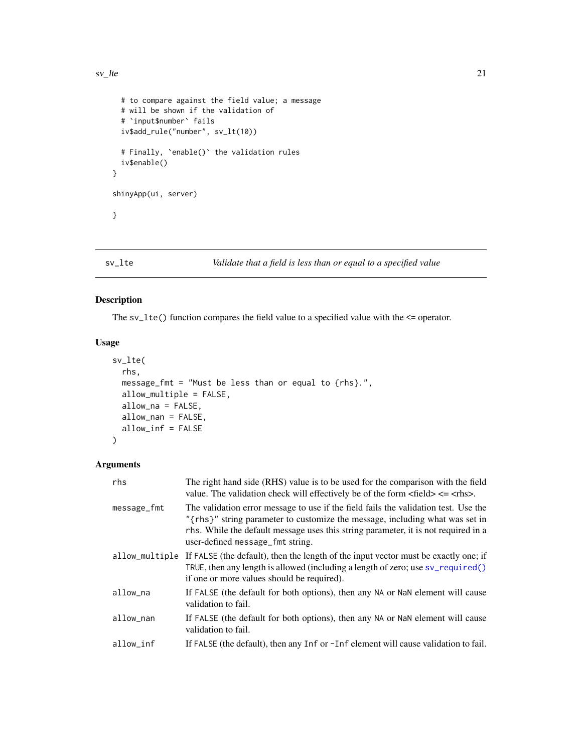```
# to compare against the field value; a message
 # will be shown if the validation of
 # `input$number` fails
 iv$add_rule("number", sv_lt(10))
 # Finally, `enable()` the validation rules
 iv$enable()
}
shinyApp(ui, server)
}
```
#### <span id="page-20-1"></span>sv\_lte *Validate that a field is less than or equal to a specified value*

#### Description

The  $sv_lte()$  function compares the field value to a specified value with the  $\leq$  operator.

#### Usage

```
sv_lte(
  rhs,
 message_fmt = "Must be less than or equal to {rhs}.",
  allow_multiple = FALSE,
  allow_na = FALSE,
  allow_nan = FALSE,
  allow_inf = FALSE
\mathcal{L}
```
#### Arguments

| rhs            | The right hand side (RHS) value is to be used for the comparison with the field<br>value. The validation check will effectively be of the form $\langle$ field $\rangle \langle$ = $\langle$ rhs $\rangle$ .                                                                                  |
|----------------|-----------------------------------------------------------------------------------------------------------------------------------------------------------------------------------------------------------------------------------------------------------------------------------------------|
| message_fmt    | The validation error message to use if the field fails the validation test. Use the<br>"{rhs}" string parameter to customize the message, including what was set in<br>rhs. While the default message uses this string parameter, it is not required in a<br>user-defined message_fmt string. |
| allow_multiple | If FALSE (the default), then the length of the input vector must be exactly one; if<br>TRUE, then any length is allowed (including a length of zero; use sv_required()<br>if one or more values should be required).                                                                          |
| allow_na       | If FALSE (the default for both options), then any NA or NaN element will cause<br>validation to fail.                                                                                                                                                                                         |
| allow_nan      | If FALSE (the default for both options), then any NA or NaN element will cause<br>validation to fail.                                                                                                                                                                                         |
| allow_inf      | If FALSE (the default), then any Inf or -Inf element will cause validation to fail.                                                                                                                                                                                                           |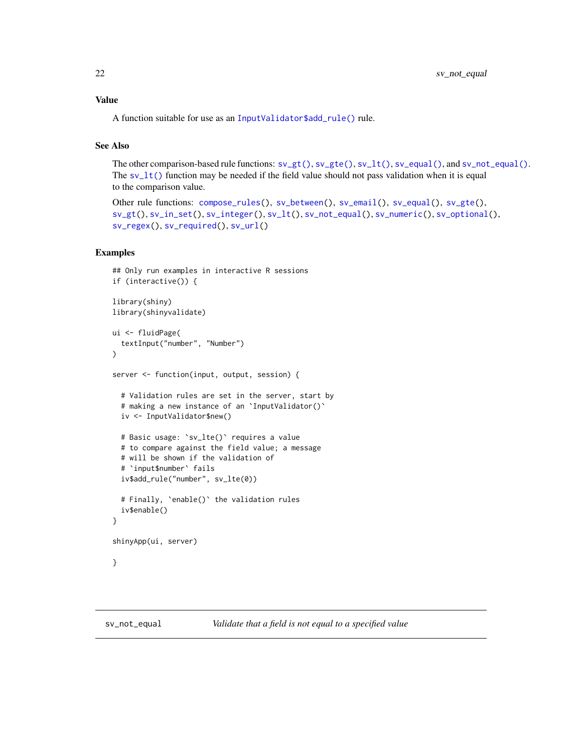#### <span id="page-21-0"></span>Value

A function suitable for use as an [InputValidator\\$add\\_rule\(\)](#page-2-1) rule.

#### See Also

The other comparison-based rule functions:  $s\vee gt(), s\vee gt(), s\vee Lt(), s\vee_equal(),$  and  $s\vee not_equal(.)$ . The  $sv_l(t)$  function may be needed if the field value should not pass validation when it is equal to the comparison value.

```
Other rule functions: compose_rules(), sv_between(), sv_email(), sv_equal(), sv_gte(),
sv_gt(), sv_in_set(), sv_integer(), sv_lt(), sv_not_equal(), sv_numeric(), sv_optional(),
sv_regex(), sv_required(), sv_url()
```

```
## Only run examples in interactive R sessions
if (interactive()) {
library(shiny)
library(shinyvalidate)
ui <- fluidPage(
 textInput("number", "Number")
\lambdaserver <- function(input, output, session) {
 # Validation rules are set in the server, start by
 # making a new instance of an `InputValidator()`
 iv <- InputValidator$new()
 # Basic usage: `sv_lte()` requires a value
 # to compare against the field value; a message
 # will be shown if the validation of
 # `input$number` fails
 iv$add_rule("number", sv_lte(0))
 # Finally, `enable()` the validation rules
 iv$enable()
}
shinyApp(ui, server)
}
```
<span id="page-21-1"></span>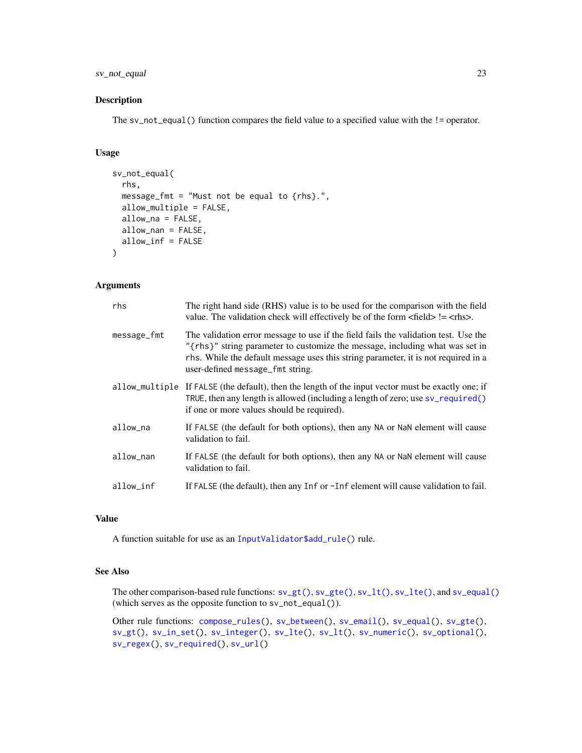#### <span id="page-22-0"></span>sv\_not\_equal 23

#### Description

The sv\_not\_equal() function compares the field value to a specified value with the != operator.

#### Usage

```
sv_not_equal(
  rhs,
  message_fmt = "Must not be equal to {rhs}.",
  allow_multiple = FALSE,
  allow_na = FALSE,
  allow_nan = FALSE,
  allow_inf = FALSE
\mathcal{L}
```
#### Arguments

| rhs         | The right hand side (RHS) value is to be used for the comparison with the field<br>value. The validation check will effectively be of the form $\langle$ field $\rangle$ != $\langle$ rhs $\rangle$ .                                                                                         |
|-------------|-----------------------------------------------------------------------------------------------------------------------------------------------------------------------------------------------------------------------------------------------------------------------------------------------|
| message_fmt | The validation error message to use if the field fails the validation test. Use the<br>"{rhs}" string parameter to customize the message, including what was set in<br>rhs. While the default message uses this string parameter, it is not required in a<br>user-defined message_fmt string. |
|             | allow_multiple If FALSE (the default), then the length of the input vector must be exactly one; if<br>TRUE, then any length is allowed (including a length of zero; use sv_required()<br>if one or more values should be required).                                                           |
| allow na    | If FALSE (the default for both options), then any NA or NaN element will cause<br>validation to fail.                                                                                                                                                                                         |
| allow_nan   | If FALSE (the default for both options), then any NA or NaN element will cause<br>validation to fail.                                                                                                                                                                                         |
| allow_inf   | If FALSE (the default), then any Inf or -Inf element will cause validation to fail.                                                                                                                                                                                                           |

#### Value

A function suitable for use as an [InputValidator\\$add\\_rule\(\)](#page-2-1) rule.

#### See Also

The other comparison-based rule functions: [sv\\_gt\(\)](#page-12-1), [sv\\_gte\(\)](#page-13-1), [sv\\_lt\(\)](#page-18-1), [sv\\_lte\(\)](#page-20-1), and [sv\\_equal\(\)](#page-10-1) (which serves as the opposite function to sv\_not\_equal()).

Other rule functions: [compose\\_rules\(](#page-1-1)), [sv\\_between\(](#page-7-1)), [sv\\_email\(](#page-9-1)), [sv\\_equal\(](#page-10-1)), [sv\\_gte\(](#page-13-1)), [sv\\_gt\(](#page-12-1)), [sv\\_in\\_set\(](#page-17-1)), [sv\\_integer\(](#page-15-1)), [sv\\_lte\(](#page-20-1)), [sv\\_lt\(](#page-18-1)), [sv\\_numeric\(](#page-23-1)), [sv\\_optional\(](#page-25-1)), [sv\\_regex\(](#page-26-1)), [sv\\_required\(](#page-28-1)), [sv\\_url\(](#page-29-1))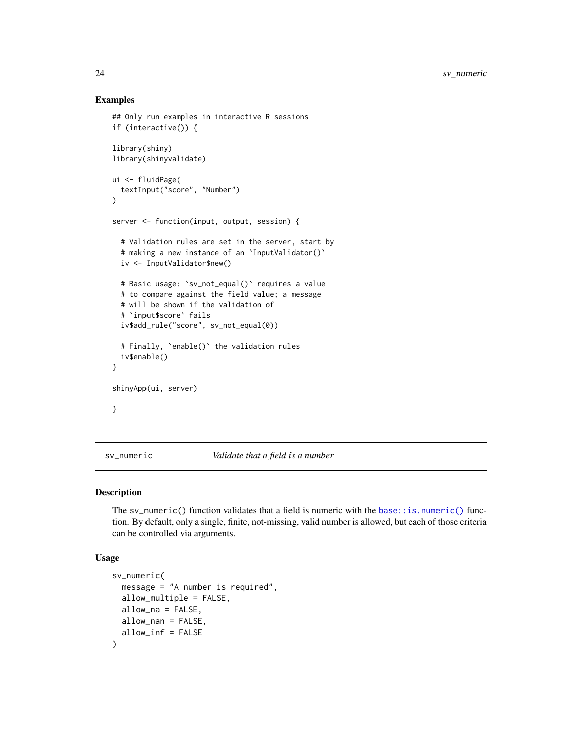#### Examples

```
## Only run examples in interactive R sessions
if (interactive()) {
library(shiny)
library(shinyvalidate)
ui <- fluidPage(
  textInput("score", "Number")
)
server <- function(input, output, session) {
  # Validation rules are set in the server, start by
  # making a new instance of an `InputValidator()`
  iv <- InputValidator$new()
  # Basic usage: `sv_not_equal()` requires a value
  # to compare against the field value; a message
  # will be shown if the validation of
  # `input$score` fails
  iv$add_rule("score", sv_not_equal(0))
  # Finally, `enable()` the validation rules
  iv$enable()
}
shinyApp(ui, server)
}
```
<span id="page-23-1"></span>sv\_numeric *Validate that a field is a number*

#### Description

The sv\_numeric() function validates that a field is numeric with the [base::is.numeric\(\)](#page-0-0) function. By default, only a single, finite, not-missing, valid number is allowed, but each of those criteria can be controlled via arguments.

#### Usage

```
sv_numeric(
  message = "A number is required",
  allow_multiple = FALSE,
  allow_na = FALSE,
 allow_nan = FALSE,
  allow_inf = FALSE
)
```
<span id="page-23-0"></span>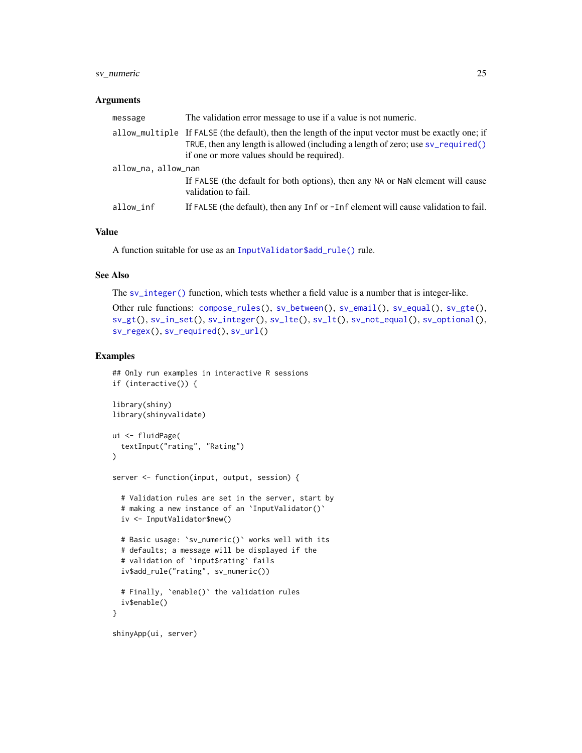#### <span id="page-24-0"></span>sv\_numeric 25

#### Arguments

| message            | The validation error message to use if a value is not numeric.                                                                                                                                                                      |  |
|--------------------|-------------------------------------------------------------------------------------------------------------------------------------------------------------------------------------------------------------------------------------|--|
|                    | allow_multiple If FALSE (the default), then the length of the input vector must be exactly one; if<br>TRUE, then any length is allowed (including a length of zero; use sv_required()<br>if one or more values should be required). |  |
| allow_na.allow_nan |                                                                                                                                                                                                                                     |  |
|                    | If FALSE (the default for both options), then any NA or NaN element will cause<br>validation to fail.                                                                                                                               |  |
| allow_inf          | If FALSE (the default), then any Inf or -Inf element will cause validation to fail.                                                                                                                                                 |  |

#### Value

A function suitable for use as an [InputValidator\\$add\\_rule\(\)](#page-2-1) rule.

#### See Also

The [sv\\_integer\(\)](#page-15-1) function, which tests whether a field value is a number that is integer-like.

```
Other rule functions: compose_rules(), sv_between(), sv_email(), sv_equal(), sv_gte(),
sv_gt(), sv_in_set(), sv_integer(), sv_lte(), sv_lt(), sv_not_equal(), sv_optional(),
sv_regex(), sv_required(), sv_url()
```

```
## Only run examples in interactive R sessions
if (interactive()) {
library(shiny)
library(shinyvalidate)
ui <- fluidPage(
  textInput("rating", "Rating")
)
server <- function(input, output, session) {
  # Validation rules are set in the server, start by
  # making a new instance of an `InputValidator()`
  iv <- InputValidator$new()
  # Basic usage: `sv_numeric()` works well with its
  # defaults; a message will be displayed if the
  # validation of `input$rating` fails
  iv$add_rule("rating", sv_numeric())
  # Finally, `enable()` the validation rules
  iv$enable()
}
shinyApp(ui, server)
```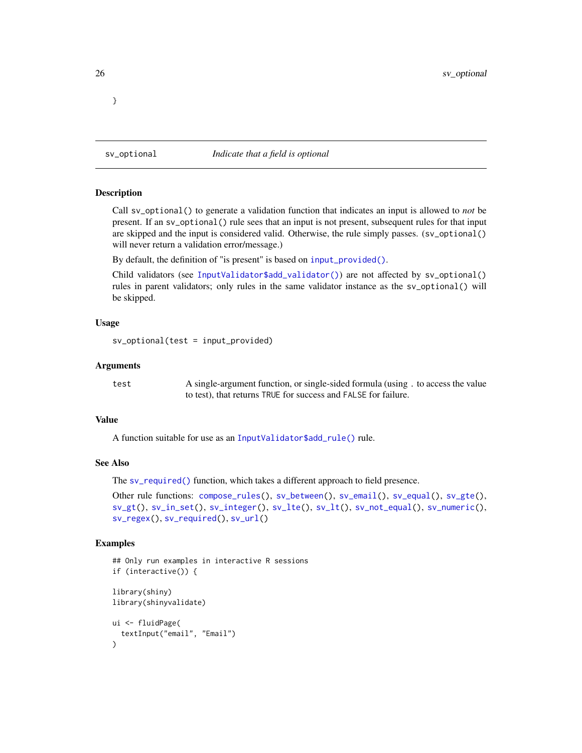<span id="page-25-1"></span>sv\_optional *Indicate that a field is optional*

#### Description

Call sv\_optional() to generate a validation function that indicates an input is allowed to *not* be present. If an sv\_optional() rule sees that an input is not present, subsequent rules for that input are skipped and the input is considered valid. Otherwise, the rule simply passes. (sv\_optional() will never return a validation error/message.)

By default, the definition of "is present" is based on [input\\_provided\(\)](#page-6-1).

Child validators (see [InputValidator\\$add\\_validator\(\)](#page-2-1)) are not affected by sv\_optional() rules in parent validators; only rules in the same validator instance as the sv\_optional() will be skipped.

#### Usage

```
sv_optional(test = input_provided)
```
#### Arguments

test A single-argument function, or single-sided formula (using . to access the value to test), that returns TRUE for success and FALSE for failure.

#### Value

A function suitable for use as an [InputValidator\\$add\\_rule\(\)](#page-2-1) rule.

#### See Also

The [sv\\_required\(\)](#page-28-1) function, which takes a different approach to field presence.

```
Other rule functions: compose_rules(), sv_between(), sv_email(), sv_equal(), sv_gte(),
sv_gt(), sv_in_set(), sv_integer(), sv_lte(), sv_lt(), sv_not_equal(), sv_numeric(),
sv_regex(), sv_required(), sv_url()
```
#### Examples

```
## Only run examples in interactive R sessions
if (interactive()) {
library(shiny)
library(shinyvalidate)
ui <- fluidPage(
  textInput("email", "Email")
)
```
<span id="page-25-0"></span>}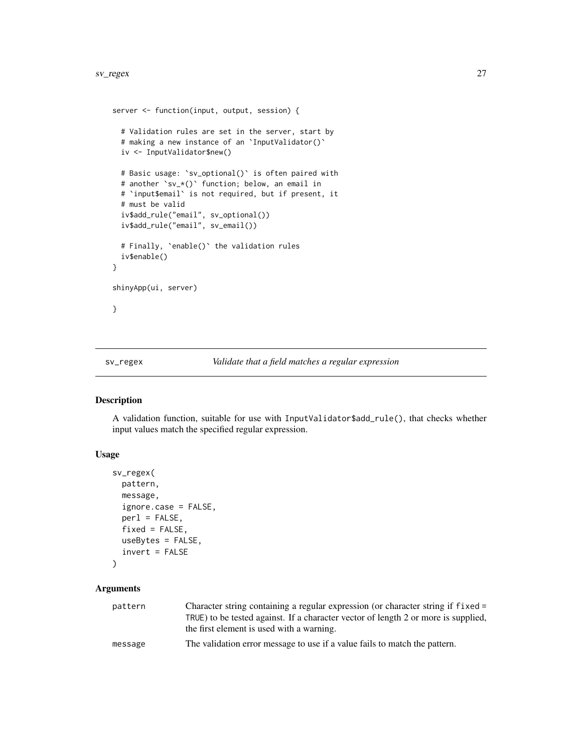```
server <- function(input, output, session) {
  # Validation rules are set in the server, start by
  # making a new instance of an `InputValidator()`
  iv <- InputValidator$new()
  # Basic usage: `sv_optional()` is often paired with
  # another `sv_*()` function; below, an email in
  # `input$email` is not required, but if present, it
  # must be valid
  iv$add_rule("email", sv_optional())
  iv$add_rule("email", sv_email())
  # Finally, `enable()` the validation rules
  iv$enable()
}
shinyApp(ui, server)
}
```
#### <span id="page-26-1"></span>sv\_regex *Validate that a field matches a regular expression*

#### Description

A validation function, suitable for use with InputValidator\$add\_rule(), that checks whether input values match the specified regular expression.

#### Usage

```
sv_regex(
 pattern,
 message,
  ignore.case = FALSE,
  perl = FALSE,
  fixed = FALSE,useBytes = FALSE,
  invert = FALSE
```

```
)
```
### Arguments

| pattern | Character string containing a regular expression (or character string if fixed =   |
|---------|------------------------------------------------------------------------------------|
|         | TRUE) to be tested against. If a character vector of length 2 or more is supplied, |
|         | the first element is used with a warning.                                          |
| message | The validation error message to use if a value fails to match the pattern.         |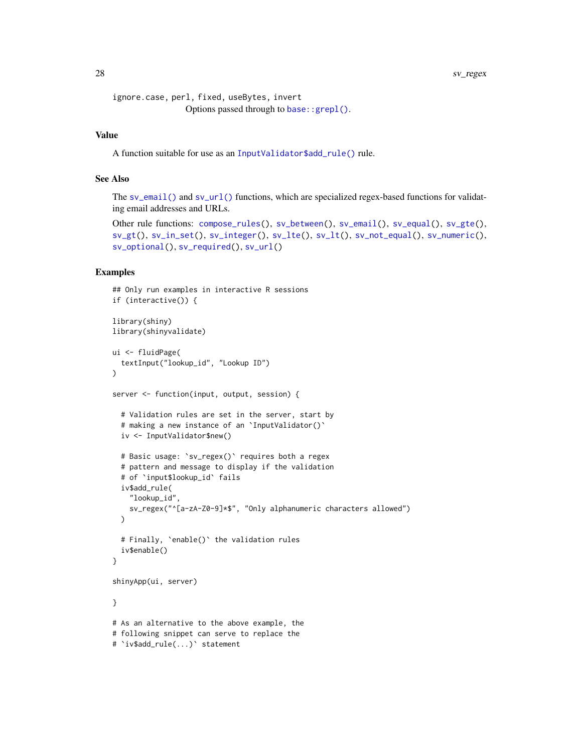<span id="page-27-0"></span>28 sv\_regex sv\_regex sv\_regex sv\_regex sv\_regex sv\_regex sv\_regex sv\_regex sv\_regex sv\_regex sv\_regex sv\_regex

```
ignore.case, perl, fixed, useBytes, invert
                Options passed through to base::grepl().
```
#### Value

A function suitable for use as an [InputValidator\\$add\\_rule\(\)](#page-2-1) rule.

#### See Also

The [sv\\_email\(\)](#page-9-1) and [sv\\_url\(\)](#page-29-1) functions, which are specialized regex-based functions for validating email addresses and URLs.

```
Other rule functions: compose_rules(), sv_between(), sv_email(), sv_equal(), sv_gte(),
sv_gt(), sv_in_set(), sv_integer(), sv_lte(), sv_lt(), sv_not_equal(), sv_numeric(),
sv_optional(), sv_required(), sv_url()
```

```
## Only run examples in interactive R sessions
if (interactive()) {
library(shiny)
library(shinyvalidate)
ui <- fluidPage(
  textInput("lookup_id", "Lookup ID")
\lambdaserver <- function(input, output, session) {
  # Validation rules are set in the server, start by
  # making a new instance of an `InputValidator()`
  iv <- InputValidator$new()
  # Basic usage: `sv_regex()` requires both a regex
  # pattern and message to display if the validation
  # of `input$lookup_id` fails
  iv$add_rule(
    "lookup_id",
    sv_regex("^[a-zA-Z0-9]*$", "Only alphanumeric characters allowed")
  )
  # Finally, `enable()` the validation rules
  iv$enable()
}
shinyApp(ui, server)
}
# As an alternative to the above example, the
# following snippet can serve to replace the
# `iv$add_rule(...)` statement
```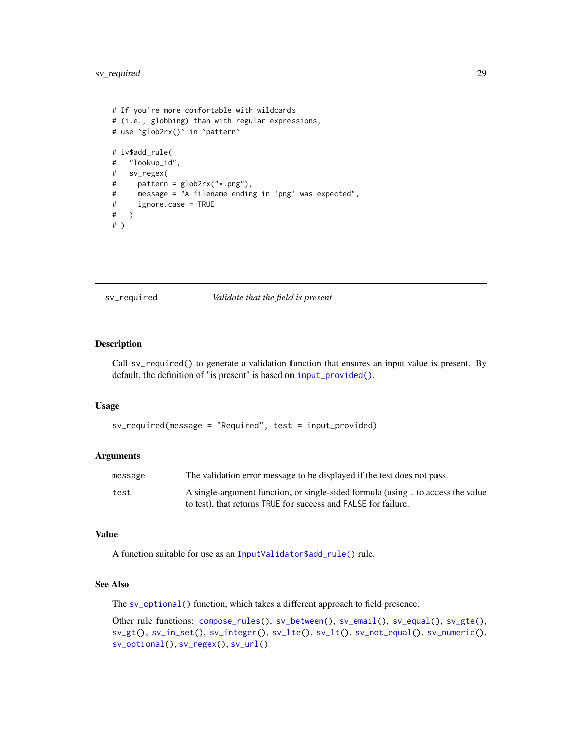#### <span id="page-28-0"></span>sv\_required 29

```
# If you're more comfortable with wildcards
# (i.e., globbing) than with regular expressions,
# use `glob2rx()` in `pattern`
# iv$add_rule(
# "lookup_id",
# sv_regex(
# pattern = glob2rx("*.png"),
# message = "A filename ending in 'png' was expected",
# ignore.case = TRUE
# )
# )
```
<span id="page-28-1"></span>sv\_required *Validate that the field is present*

#### Description

Call sv\_required() to generate a validation function that ensures an input value is present. By default, the definition of "is present" is based on [input\\_provided\(\)](#page-6-1).

#### Usage

```
sv_required(message = "Required", test = input_provided)
```
#### Arguments

| message | The validation error message to be displayed if the test does not pass.         |
|---------|---------------------------------------------------------------------------------|
| test    | A single-argument function, or single-sided formula (using, to access the value |
|         | to test), that returns TRUE for success and FALSE for failure.                  |

#### Value

A function suitable for use as an [InputValidator\\$add\\_rule\(\)](#page-2-1) rule.

#### See Also

The [sv\\_optional\(\)](#page-25-1) function, which takes a different approach to field presence.

Other rule functions: [compose\\_rules\(](#page-1-1)), [sv\\_between\(](#page-7-1)), [sv\\_email\(](#page-9-1)), [sv\\_equal\(](#page-10-1)), [sv\\_gte\(](#page-13-1)), [sv\\_gt\(](#page-12-1)), [sv\\_in\\_set\(](#page-17-1)), [sv\\_integer\(](#page-15-1)), [sv\\_lte\(](#page-20-1)), [sv\\_lt\(](#page-18-1)), [sv\\_not\\_equal\(](#page-21-1)), [sv\\_numeric\(](#page-23-1)), [sv\\_optional\(](#page-25-1)), [sv\\_regex\(](#page-26-1)), [sv\\_url\(](#page-29-1))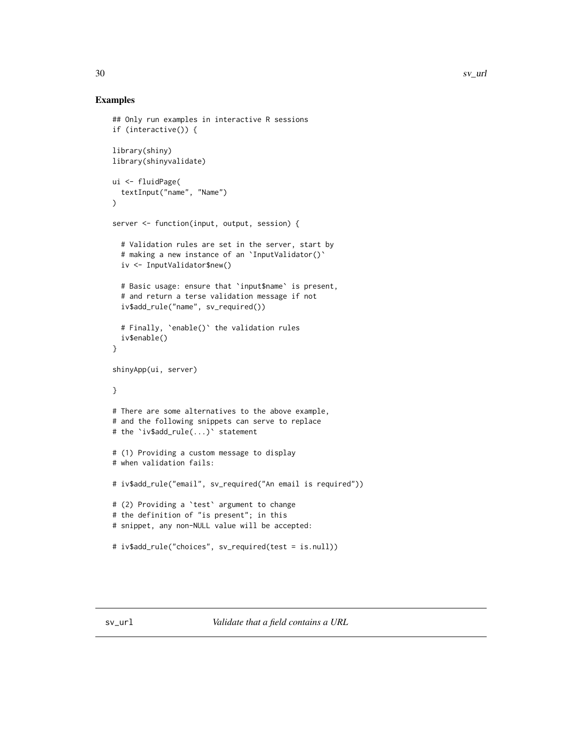```
## Only run examples in interactive R sessions
if (interactive()) {
library(shiny)
library(shinyvalidate)
ui <- fluidPage(
  textInput("name", "Name")
\lambdaserver <- function(input, output, session) {
  # Validation rules are set in the server, start by
  # making a new instance of an `InputValidator()`
  iv <- InputValidator$new()
  # Basic usage: ensure that `input$name` is present,
  # and return a terse validation message if not
  iv$add_rule("name", sv_required())
  # Finally, `enable()` the validation rules
  iv$enable()
}
shinyApp(ui, server)
}
# There are some alternatives to the above example,
# and the following snippets can serve to replace
# the `iv$add_rule(...)` statement
# (1) Providing a custom message to display
# when validation fails:
# iv$add_rule("email", sv_required("An email is required"))
# (2) Providing a `test` argument to change
# the definition of "is present"; in this
# snippet, any non-NULL value will be accepted:
# iv$add_rule("choices", sv_required(test = is.null))
```
<span id="page-29-0"></span>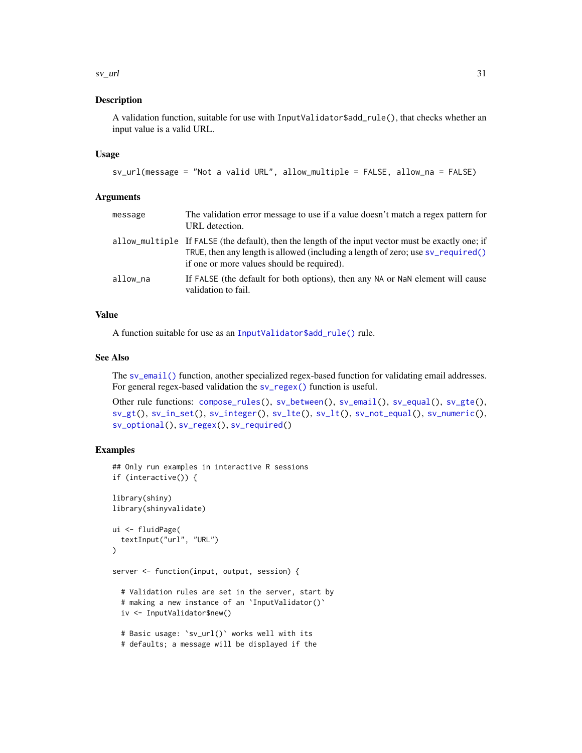#### <span id="page-30-0"></span> $s$ v\_url  $31$

#### Description

A validation function, suitable for use with InputValidator\$add\_rule(), that checks whether an input value is a valid URL.

#### Usage

```
sv_url(message = "Not a valid URL", allow_multiple = FALSE, allow_na = FALSE)
```
#### Arguments

| message  | The validation error message to use if a value doesn't match a regex pattern for<br>URL detection.                                                                                                                                    |
|----------|---------------------------------------------------------------------------------------------------------------------------------------------------------------------------------------------------------------------------------------|
|          | allow_multiple If FALSE (the default), then the length of the input vector must be exactly one; if<br>TRUE, then any length is allowed (including a length of zero; use $sv$ required()<br>if one or more values should be required). |
| allow na | If FALSE (the default for both options), then any NA or NaN element will cause<br>validation to fail.                                                                                                                                 |

#### Value

A function suitable for use as an [InputValidator\\$add\\_rule\(\)](#page-2-1) rule.

#### See Also

The [sv\\_email\(\)](#page-9-1) function, another specialized regex-based function for validating email addresses. For general regex-based validation the [sv\\_regex\(\)](#page-26-1) function is useful.

```
Other rule functions: compose_rules(), sv_between(), sv_email(), sv_equal(), sv_gte(),
sv_gt(), sv_in_set(), sv_integer(), sv_lte(), sv_lt(), sv_not_equal(), sv_numeric(),
sv_optional(), sv_regex(), sv_required()
```

```
## Only run examples in interactive R sessions
if (interactive()) {
library(shiny)
library(shinyvalidate)
ui <- fluidPage(
  textInput("url", "URL")
)
server <- function(input, output, session) {
  # Validation rules are set in the server, start by
  # making a new instance of an `InputValidator()`
  iv <- InputValidator$new()
  # Basic usage: `sv_url()` works well with its
  # defaults; a message will be displayed if the
```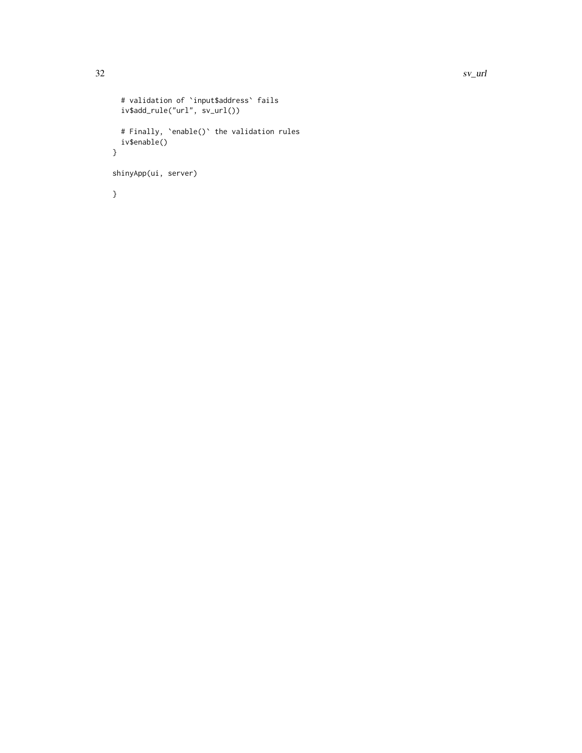```
# validation of `input$address` fails
 iv$add_rule("url", sv_url())
  # Finally, `enable()` the validation rules
  iv$enable()
}
shinyApp(ui, server)
}
```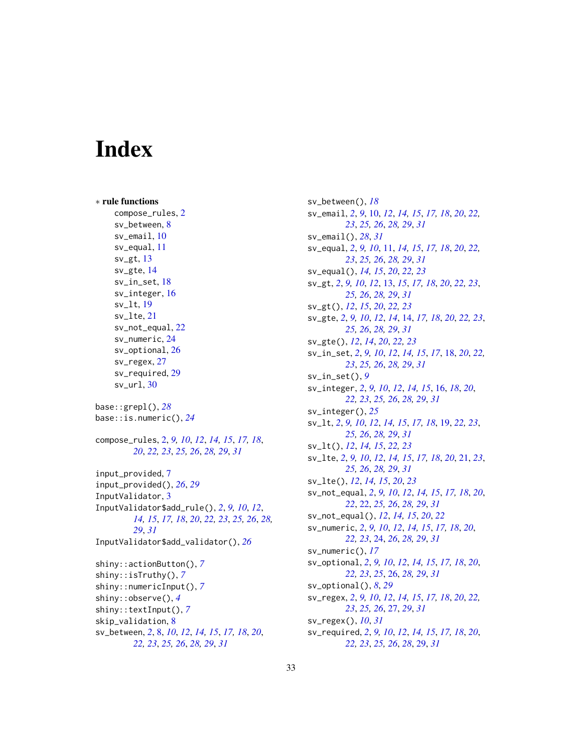# <span id="page-32-0"></span>**Index**

∗ rule functions compose\_rules, [2](#page-1-0) sv\_between, [8](#page-7-0) sv\_email, [10](#page-9-0) sv\_equal, [11](#page-10-0) sv\_gt, [13](#page-12-0) sv\_gte, [14](#page-13-0) sv\_in\_set, [18](#page-17-0) sv\_integer, [16](#page-15-0) sv\_lt, [19](#page-18-0) sv\_lte, [21](#page-20-0) sv\_not\_equal, [22](#page-21-0) sv\_numeric, [24](#page-23-0) sv\_optional, [26](#page-25-0) sv\_regex, [27](#page-26-0) sv\_required, [29](#page-28-0)  $sv\_url, 30$  $sv\_url, 30$ base::grepl(), *[28](#page-27-0)* base::is.numeric(), *[24](#page-23-0)* compose\_rules, [2,](#page-1-0) *[9,](#page-8-0) [10](#page-9-0)*, *[12](#page-11-0)*, *[14,](#page-13-0) [15](#page-14-0)*, *[17,](#page-16-0) [18](#page-17-0)*, *[20](#page-19-0)*, *[22,](#page-21-0) [23](#page-22-0)*, *[25,](#page-24-0) [26](#page-25-0)*, *[28,](#page-27-0) [29](#page-28-0)*, *[31](#page-30-0)* input\_provided, [7](#page-6-0) input\_provided(), *[26](#page-25-0)*, *[29](#page-28-0)* InputValidator, [3](#page-2-0) InputValidator\$add\_rule(), *[2](#page-1-0)*, *[9,](#page-8-0) [10](#page-9-0)*, *[12](#page-11-0)*, *[14,](#page-13-0) [15](#page-14-0)*, *[17,](#page-16-0) [18](#page-17-0)*, *[20](#page-19-0)*, *[22,](#page-21-0) [23](#page-22-0)*, *[25,](#page-24-0) [26](#page-25-0)*, *[28,](#page-27-0) [29](#page-28-0)*, *[31](#page-30-0)* InputValidator\$add\_validator(), *[26](#page-25-0)* shiny::actionButton(), *[7](#page-6-0)* shiny::isTruthy(), *[7](#page-6-0)* shiny::numericInput(), *[7](#page-6-0)* shiny::observe(), *[4](#page-3-1)* shiny::textInput(), *[7](#page-6-0)* skip\_validation, [8](#page-7-0) sv\_between, *[2](#page-1-0)*, [8,](#page-7-0) *[10](#page-9-0)*, *[12](#page-11-0)*, *[14,](#page-13-0) [15](#page-14-0)*, *[17,](#page-16-0) [18](#page-17-0)*, *[20](#page-19-0)*, *[22,](#page-21-0) [23](#page-22-0)*, *[25,](#page-24-0) [26](#page-25-0)*, *[28,](#page-27-0) [29](#page-28-0)*, *[31](#page-30-0)*

sv\_between(), *[18](#page-17-0)* sv\_email, *[2](#page-1-0)*, *[9](#page-8-0)*, [10,](#page-9-0) *[12](#page-11-0)*, *[14,](#page-13-0) [15](#page-14-0)*, *[17,](#page-16-0) [18](#page-17-0)*, *[20](#page-19-0)*, *[22,](#page-21-0) [23](#page-22-0)*, *[25,](#page-24-0) [26](#page-25-0)*, *[28,](#page-27-0) [29](#page-28-0)*, *[31](#page-30-0)* sv\_email(), *[28](#page-27-0)*, *[31](#page-30-0)* sv\_equal, *[2](#page-1-0)*, *[9,](#page-8-0) [10](#page-9-0)*, [11,](#page-10-0) *[14,](#page-13-0) [15](#page-14-0)*, *[17,](#page-16-0) [18](#page-17-0)*, *[20](#page-19-0)*, *[22,](#page-21-0) [23](#page-22-0)*, *[25,](#page-24-0) [26](#page-25-0)*, *[28,](#page-27-0) [29](#page-28-0)*, *[31](#page-30-0)* sv\_equal(), *[14,](#page-13-0) [15](#page-14-0)*, *[20](#page-19-0)*, *[22,](#page-21-0) [23](#page-22-0)* sv\_gt, *[2](#page-1-0)*, *[9,](#page-8-0) [10](#page-9-0)*, *[12](#page-11-0)*, [13,](#page-12-0) *[15](#page-14-0)*, *[17,](#page-16-0) [18](#page-17-0)*, *[20](#page-19-0)*, *[22,](#page-21-0) [23](#page-22-0)*, *[25,](#page-24-0) [26](#page-25-0)*, *[28,](#page-27-0) [29](#page-28-0)*, *[31](#page-30-0)* sv\_gt(), *[12](#page-11-0)*, *[15](#page-14-0)*, *[20](#page-19-0)*, *[22,](#page-21-0) [23](#page-22-0)* sv\_gte, *[2](#page-1-0)*, *[9,](#page-8-0) [10](#page-9-0)*, *[12](#page-11-0)*, *[14](#page-13-0)*, [14,](#page-13-0) *[17,](#page-16-0) [18](#page-17-0)*, *[20](#page-19-0)*, *[22,](#page-21-0) [23](#page-22-0)*, *[25,](#page-24-0) [26](#page-25-0)*, *[28,](#page-27-0) [29](#page-28-0)*, *[31](#page-30-0)* sv\_gte(), *[12](#page-11-0)*, *[14](#page-13-0)*, *[20](#page-19-0)*, *[22,](#page-21-0) [23](#page-22-0)* sv\_in\_set, *[2](#page-1-0)*, *[9,](#page-8-0) [10](#page-9-0)*, *[12](#page-11-0)*, *[14,](#page-13-0) [15](#page-14-0)*, *[17](#page-16-0)*, [18,](#page-17-0) *[20](#page-19-0)*, *[22,](#page-21-0) [23](#page-22-0)*, *[25,](#page-24-0) [26](#page-25-0)*, *[28,](#page-27-0) [29](#page-28-0)*, *[31](#page-30-0)* sv\_in\_set(), *[9](#page-8-0)* sv\_integer, *[2](#page-1-0)*, *[9,](#page-8-0) [10](#page-9-0)*, *[12](#page-11-0)*, *[14,](#page-13-0) [15](#page-14-0)*, [16,](#page-15-0) *[18](#page-17-0)*, *[20](#page-19-0)*, *[22,](#page-21-0) [23](#page-22-0)*, *[25,](#page-24-0) [26](#page-25-0)*, *[28,](#page-27-0) [29](#page-28-0)*, *[31](#page-30-0)* sv\_integer(), *[25](#page-24-0)* sv\_lt, *[2](#page-1-0)*, *[9,](#page-8-0) [10](#page-9-0)*, *[12](#page-11-0)*, *[14,](#page-13-0) [15](#page-14-0)*, *[17,](#page-16-0) [18](#page-17-0)*, [19,](#page-18-0) *[22,](#page-21-0) [23](#page-22-0)*, *[25,](#page-24-0) [26](#page-25-0)*, *[28,](#page-27-0) [29](#page-28-0)*, *[31](#page-30-0)* sv\_lt(), *[12](#page-11-0)*, *[14,](#page-13-0) [15](#page-14-0)*, *[22,](#page-21-0) [23](#page-22-0)* sv\_lte, *[2](#page-1-0)*, *[9,](#page-8-0) [10](#page-9-0)*, *[12](#page-11-0)*, *[14,](#page-13-0) [15](#page-14-0)*, *[17,](#page-16-0) [18](#page-17-0)*, *[20](#page-19-0)*, [21,](#page-20-0) *[23](#page-22-0)*, *[25,](#page-24-0) [26](#page-25-0)*, *[28,](#page-27-0) [29](#page-28-0)*, *[31](#page-30-0)* sv\_lte(), *[12](#page-11-0)*, *[14,](#page-13-0) [15](#page-14-0)*, *[20](#page-19-0)*, *[23](#page-22-0)* sv\_not\_equal, *[2](#page-1-0)*, *[9,](#page-8-0) [10](#page-9-0)*, *[12](#page-11-0)*, *[14,](#page-13-0) [15](#page-14-0)*, *[17,](#page-16-0) [18](#page-17-0)*, *[20](#page-19-0)*, *[22](#page-21-0)*, [22,](#page-21-0) *[25,](#page-24-0) [26](#page-25-0)*, *[28,](#page-27-0) [29](#page-28-0)*, *[31](#page-30-0)* sv\_not\_equal(), *[12](#page-11-0)*, *[14,](#page-13-0) [15](#page-14-0)*, *[20](#page-19-0)*, *[22](#page-21-0)* sv\_numeric, *[2](#page-1-0)*, *[9,](#page-8-0) [10](#page-9-0)*, *[12](#page-11-0)*, *[14,](#page-13-0) [15](#page-14-0)*, *[17,](#page-16-0) [18](#page-17-0)*, *[20](#page-19-0)*, *[22,](#page-21-0) [23](#page-22-0)*, [24,](#page-23-0) *[26](#page-25-0)*, *[28,](#page-27-0) [29](#page-28-0)*, *[31](#page-30-0)* sv\_numeric(), *[17](#page-16-0)* sv\_optional, *[2](#page-1-0)*, *[9,](#page-8-0) [10](#page-9-0)*, *[12](#page-11-0)*, *[14,](#page-13-0) [15](#page-14-0)*, *[17,](#page-16-0) [18](#page-17-0)*, *[20](#page-19-0)*, *[22,](#page-21-0) [23](#page-22-0)*, *[25](#page-24-0)*, [26,](#page-25-0) *[28,](#page-27-0) [29](#page-28-0)*, *[31](#page-30-0)* sv\_optional(), *[8](#page-7-0)*, *[29](#page-28-0)* sv\_regex, *[2](#page-1-0)*, *[9,](#page-8-0) [10](#page-9-0)*, *[12](#page-11-0)*, *[14,](#page-13-0) [15](#page-14-0)*, *[17,](#page-16-0) [18](#page-17-0)*, *[20](#page-19-0)*, *[22,](#page-21-0) [23](#page-22-0)*, *[25,](#page-24-0) [26](#page-25-0)*, [27,](#page-26-0) *[29](#page-28-0)*, *[31](#page-30-0)* sv\_regex(), *[10](#page-9-0)*, *[31](#page-30-0)* sv\_required, *[2](#page-1-0)*, *[9,](#page-8-0) [10](#page-9-0)*, *[12](#page-11-0)*, *[14,](#page-13-0) [15](#page-14-0)*, *[17,](#page-16-0) [18](#page-17-0)*, *[20](#page-19-0)*, *[22,](#page-21-0) [23](#page-22-0)*, *[25,](#page-24-0) [26](#page-25-0)*, *[28](#page-27-0)*, [29,](#page-28-0) *[31](#page-30-0)*